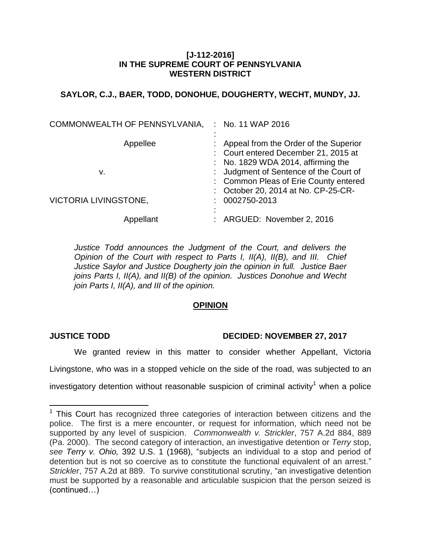## **[J-112-2016] IN THE SUPREME COURT OF PENNSYLVANIA WESTERN DISTRICT**

# **SAYLOR, C.J., BAER, TODD, DONOHUE, DOUGHERTY, WECHT, MUNDY, JJ.**

| COMMONWEALTH OF PENNSYLVANIA, | $:$ No. 11 WAP 2016                                                                                                                                             |
|-------------------------------|-----------------------------------------------------------------------------------------------------------------------------------------------------------------|
| Appellee<br>v.                | : Appeal from the Order of the Superior<br>: Court entered December 21, 2015 at<br>: No. 1829 WDA 2014, affirming the<br>: Judgment of Sentence of the Court of |
| <b>VICTORIA LIVINGSTONE,</b>  | : Common Pleas of Erie County entered<br>: October 20, 2014 at No. CP-25-CR-<br>$: 0002750 - 2013$                                                              |
| Appellant                     | : ARGUED: November 2, 2016                                                                                                                                      |

*Justice Todd announces the Judgment of the Court, and delivers the Opinion of the Court with respect to Parts I, II(A), II(B), and III. Chief Justice Saylor and Justice Dougherty join the opinion in full. Justice Baer joins Parts I, II(A), and II(B) of the opinion. Justices Donohue and Wecht join Parts I, II(A), and III of the opinion.*

# **OPINION**

## **JUSTICE TODD DECIDED: NOVEMBER 27, 2017**

We granted review in this matter to consider whether Appellant, Victoria Livingstone, who was in a stopped vehicle on the side of the road, was subjected to an investigatory detention without reasonable suspicion of criminal activity<sup>1</sup> when a police

 $\overline{a}$  $1$  This Court has recognized three categories of interaction between citizens and the police. The first is a mere encounter, or request for information, which need not be supported by any level of suspicion. *Commonwealth v. Strickler*, 757 A.2d 884, 889 (Pa. 2000). The second category of interaction, an investigative detention or *Terry* stop, *see Terry v. Ohio,* 392 U.S. 1 (1968), "subjects an individual to a stop and period of detention but is not so coercive as to constitute the functional equivalent of an arrest." *Strickler*, 757 A.2d at 889. To survive constitutional scrutiny, "an investigative detention must be supported by a reasonable and articulable suspicion that the person seized is (continued…)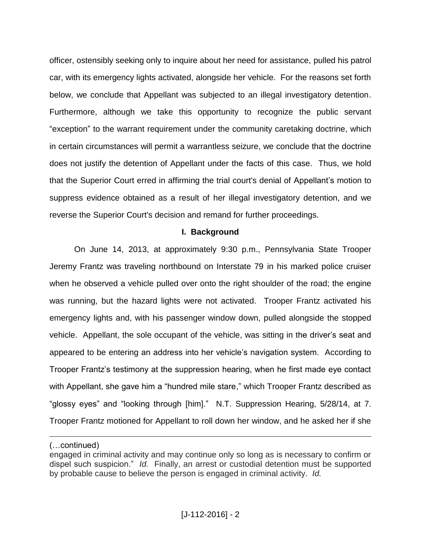officer, ostensibly seeking only to inquire about her need for assistance, pulled his patrol car, with its emergency lights activated, alongside her vehicle. For the reasons set forth below, we conclude that Appellant was subjected to an illegal investigatory detention. Furthermore, although we take this opportunity to recognize the public servant "exception" to the warrant requirement under the community caretaking doctrine, which in certain circumstances will permit a warrantless seizure, we conclude that the doctrine does not justify the detention of Appellant under the facts of this case. Thus, we hold that the Superior Court erred in affirming the trial court's denial of Appellant's motion to suppress evidence obtained as a result of her illegal investigatory detention, and we reverse the Superior Court's decision and remand for further proceedings.

#### **I. Background**

On June 14, 2013, at approximately 9:30 p.m., Pennsylvania State Trooper Jeremy Frantz was traveling northbound on Interstate 79 in his marked police cruiser when he observed a vehicle pulled over onto the right shoulder of the road; the engine was running, but the hazard lights were not activated. Trooper Frantz activated his emergency lights and, with his passenger window down, pulled alongside the stopped vehicle. Appellant, the sole occupant of the vehicle, was sitting in the driver's seat and appeared to be entering an address into her vehicle's navigation system. According to Trooper Frantz's testimony at the suppression hearing, when he first made eye contact with Appellant, she gave him a "hundred mile stare," which Trooper Frantz described as "glossy eyes" and "looking through [him]." N.T. Suppression Hearing, 5/28/14, at 7. Trooper Frantz motioned for Appellant to roll down her window, and he asked her if she

<sup>(…</sup>continued)

engaged in criminal activity and may continue only so long as is necessary to confirm or dispel such suspicion." *Id.* Finally, an arrest or custodial detention must be supported by probable cause to believe the person is engaged in criminal activity. *Id.*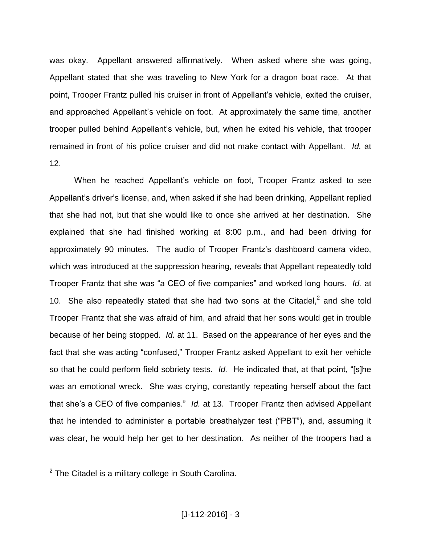was okay. Appellant answered affirmatively. When asked where she was going, Appellant stated that she was traveling to New York for a dragon boat race. At that point, Trooper Frantz pulled his cruiser in front of Appellant's vehicle, exited the cruiser, and approached Appellant's vehicle on foot. At approximately the same time, another trooper pulled behind Appellant's vehicle, but, when he exited his vehicle, that trooper remained in front of his police cruiser and did not make contact with Appellant. *Id.* at 12.

When he reached Appellant's vehicle on foot, Trooper Frantz asked to see Appellant's driver's license, and, when asked if she had been drinking, Appellant replied that she had not, but that she would like to once she arrived at her destination. She explained that she had finished working at 8:00 p.m., and had been driving for approximately 90 minutes. The audio of Trooper Frantz's dashboard camera video, which was introduced at the suppression hearing, reveals that Appellant repeatedly told Trooper Frantz that she was "a CEO of five companies" and worked long hours. *Id.* at 10. She also repeatedly stated that she had two sons at the Citadel, $<sup>2</sup>$  and she told</sup> Trooper Frantz that she was afraid of him, and afraid that her sons would get in trouble because of her being stopped. *Id.* at 11. Based on the appearance of her eyes and the fact that she was acting "confused," Trooper Frantz asked Appellant to exit her vehicle so that he could perform field sobriety tests. *Id.* He indicated that, at that point, "[s]he was an emotional wreck. She was crying, constantly repeating herself about the fact that she's a CEO of five companies." *Id.* at 13. Trooper Frantz then advised Appellant that he intended to administer a portable breathalyzer test ("PBT"), and, assuming it was clear, he would help her get to her destination. As neither of the troopers had a

 $2$  The Citadel is a military college in South Carolina.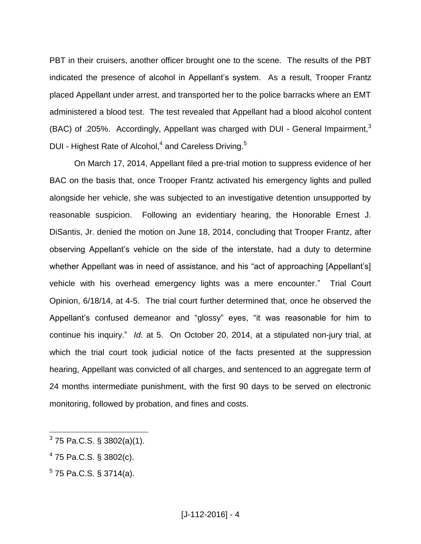PBT in their cruisers, another officer brought one to the scene. The results of the PBT indicated the presence of alcohol in Appellant's system. As a result, Trooper Frantz placed Appellant under arrest, and transported her to the police barracks where an EMT administered a blood test. The test revealed that Appellant had a blood alcohol content (BAC) of .205%. Accordingly, Appellant was charged with DUI - General Impairment,<sup>3</sup> DUI - Highest Rate of Alcohol, $4$  and Careless Driving.<sup>5</sup>

On March 17, 2014, Appellant filed a pre-trial motion to suppress evidence of her BAC on the basis that, once Trooper Frantz activated his emergency lights and pulled alongside her vehicle, she was subjected to an investigative detention unsupported by reasonable suspicion. Following an evidentiary hearing, the Honorable Ernest J. DiSantis, Jr. denied the motion on June 18, 2014, concluding that Trooper Frantz, after observing Appellant's vehicle on the side of the interstate, had a duty to determine whether Appellant was in need of assistance, and his "act of approaching [Appellant's] vehicle with his overhead emergency lights was a mere encounter." Trial Court Opinion, 6/18/14, at 4-5. The trial court further determined that, once he observed the Appellant's confused demeanor and "glossy" eyes, "it was reasonable for him to continue his inquiry." *Id.* at 5. On October 20, 2014, at a stipulated non-jury trial, at which the trial court took judicial notice of the facts presented at the suppression hearing, Appellant was convicted of all charges, and sentenced to an aggregate term of 24 months intermediate punishment, with the first 90 days to be served on electronic monitoring, followed by probation, and fines and costs.

 $^{4}$  75 Pa.C.S. § 3802(c).

 3 75 Pa.C.S. § 3802(a)(1).

 $5$  75 Pa.C.S. § 3714(a).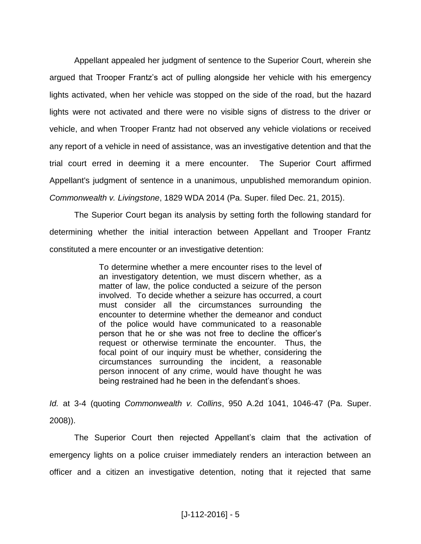Appellant appealed her judgment of sentence to the Superior Court, wherein she argued that Trooper Frantz's act of pulling alongside her vehicle with his emergency lights activated, when her vehicle was stopped on the side of the road, but the hazard lights were not activated and there were no visible signs of distress to the driver or vehicle, and when Trooper Frantz had not observed any vehicle violations or received any report of a vehicle in need of assistance, was an investigative detention and that the trial court erred in deeming it a mere encounter. The Superior Court affirmed Appellant's judgment of sentence in a unanimous, unpublished memorandum opinion. *Commonwealth v. Livingstone*, 1829 WDA 2014 (Pa. Super. filed Dec. 21, 2015).

The Superior Court began its analysis by setting forth the following standard for determining whether the initial interaction between Appellant and Trooper Frantz constituted a mere encounter or an investigative detention:

> To determine whether a mere encounter rises to the level of an investigatory detention, we must discern whether, as a matter of law, the police conducted a seizure of the person involved. To decide whether a seizure has occurred, a court must consider all the circumstances surrounding the encounter to determine whether the demeanor and conduct of the police would have communicated to a reasonable person that he or she was not free to decline the officer's request or otherwise terminate the encounter. Thus, the focal point of our inquiry must be whether, considering the circumstances surrounding the incident, a reasonable person innocent of any crime, would have thought he was being restrained had he been in the defendant's shoes.

*Id.* at 3-4 (quoting *Commonwealth v. Collins*, 950 A.2d 1041, 1046-47 (Pa. Super. 2008)).

The Superior Court then rejected Appellant's claim that the activation of emergency lights on a police cruiser immediately renders an interaction between an officer and a citizen an investigative detention, noting that it rejected that same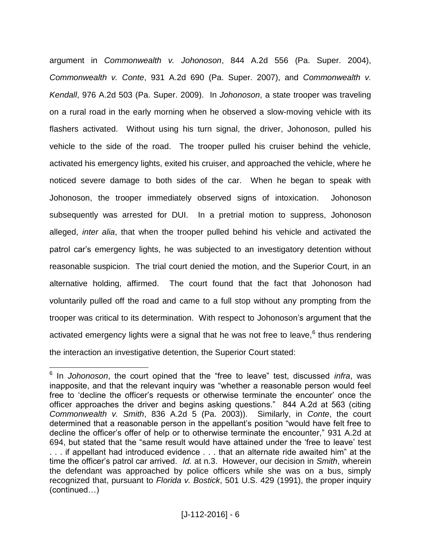argument in *Commonwealth v. Johonoson*, 844 A.2d 556 (Pa. Super. 2004), *Commonwealth v. Conte*, 931 A.2d 690 (Pa. Super. 2007), and *Commonwealth v. Kendall*, 976 A.2d 503 (Pa. Super. 2009). In *Johonoson*, a state trooper was traveling on a rural road in the early morning when he observed a slow-moving vehicle with its flashers activated. Without using his turn signal, the driver, Johonoson, pulled his vehicle to the side of the road. The trooper pulled his cruiser behind the vehicle, activated his emergency lights, exited his cruiser, and approached the vehicle, where he noticed severe damage to both sides of the car. When he began to speak with Johonoson, the trooper immediately observed signs of intoxication. Johonoson subsequently was arrested for DUI. In a pretrial motion to suppress, Johonoson alleged, *inter alia*, that when the trooper pulled behind his vehicle and activated the patrol car's emergency lights, he was subjected to an investigatory detention without reasonable suspicion. The trial court denied the motion, and the Superior Court, in an alternative holding, affirmed. The court found that the fact that Johonoson had voluntarily pulled off the road and came to a full stop without any prompting from the trooper was critical to its determination. With respect to Johonoson's argument that the activated emergency lights were a signal that he was not free to leave,  $6$  thus rendering the interaction an investigative detention, the Superior Court stated:

 6 In *Johonoson*, the court opined that the "free to leave" test, discussed *infra*, was inapposite, and that the relevant inquiry was "whether a reasonable person would feel free to 'decline the officer's requests or otherwise terminate the encounter' once the officer approaches the driver and begins asking questions." 844 A.2d at 563 (citing *Commonwealth v. Smith*, 836 A.2d 5 (Pa. 2003)). Similarly, in *Conte*, the court determined that a reasonable person in the appellant's position "would have felt free to decline the officer's offer of help or to otherwise terminate the encounter," 931 A.2d at 694, but stated that the "same result would have attained under the 'free to leave' test . . . if appellant had introduced evidence . . . that an alternate ride awaited him" at the time the officer's patrol car arrived. *Id.* at n.3. However, our decision in *Smith*, wherein the defendant was approached by police officers while she was on a bus, simply recognized that, pursuant to *Florida v. Bostick*, 501 U.S. 429 (1991), the proper inquiry (continued…)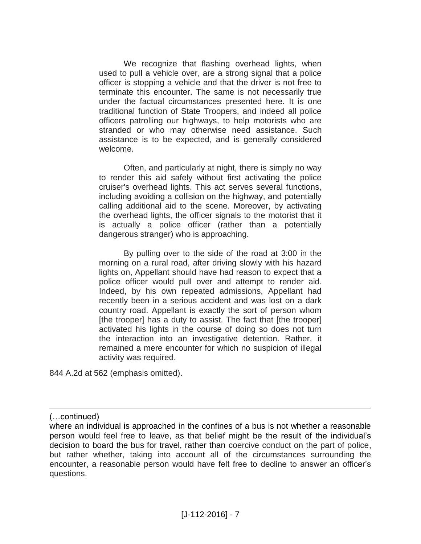We recognize that flashing overhead lights, when used to pull a vehicle over, are a strong signal that a police officer is stopping a vehicle and that the driver is not free to terminate this encounter. The same is not necessarily true under the factual circumstances presented here. It is one traditional function of State Troopers, and indeed all police officers patrolling our highways, to help motorists who are stranded or who may otherwise need assistance. Such assistance is to be expected, and is generally considered welcome.

Often, and particularly at night, there is simply no way to render this aid safely without first activating the police cruiser's overhead lights. This act serves several functions, including avoiding a collision on the highway, and potentially calling additional aid to the scene. Moreover, by activating the overhead lights, the officer signals to the motorist that it is actually a police officer (rather than a potentially dangerous stranger) who is approaching.

By pulling over to the side of the road at 3:00 in the morning on a rural road, after driving slowly with his hazard lights on, Appellant should have had reason to expect that a police officer would pull over and attempt to render aid. Indeed, by his own repeated admissions, Appellant had recently been in a serious accident and was lost on a dark country road. Appellant is exactly the sort of person whom [the trooper] has a duty to assist. The fact that [the trooper] activated his lights in the course of doing so does not turn the interaction into an investigative detention. Rather, it remained a mere encounter for which no suspicion of illegal activity was required.

844 A.2d at 562 (emphasis omitted).

(…continued)

where an individual is approached in the confines of a bus is not whether a reasonable person would feel free to leave, as that belief might be the result of the individual's decision to board the bus for travel, rather than coercive conduct on the part of police, but rather whether, taking into account all of the circumstances surrounding the encounter, a reasonable person would have felt free to decline to answer an officer's questions.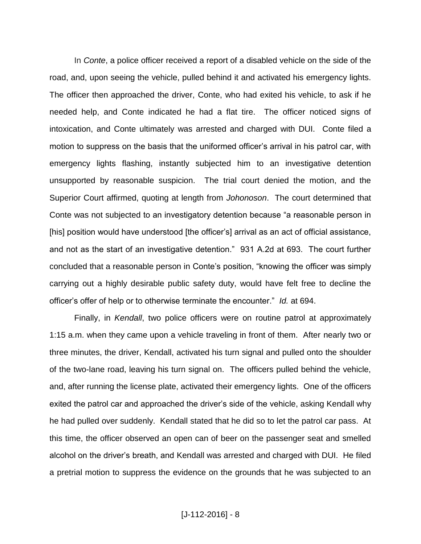In *Conte*, a police officer received a report of a disabled vehicle on the side of the road, and, upon seeing the vehicle, pulled behind it and activated his emergency lights. The officer then approached the driver, Conte, who had exited his vehicle, to ask if he needed help, and Conte indicated he had a flat tire. The officer noticed signs of intoxication, and Conte ultimately was arrested and charged with DUI. Conte filed a motion to suppress on the basis that the uniformed officer's arrival in his patrol car, with emergency lights flashing, instantly subjected him to an investigative detention unsupported by reasonable suspicion. The trial court denied the motion, and the Superior Court affirmed, quoting at length from *Johonoson*. The court determined that Conte was not subjected to an investigatory detention because "a reasonable person in [his] position would have understood [the officer's] arrival as an act of official assistance, and not as the start of an investigative detention." 931 A.2d at 693. The court further concluded that a reasonable person in Conte's position, "knowing the officer was simply carrying out a highly desirable public safety duty, would have felt free to decline the officer's offer of help or to otherwise terminate the encounter." *Id.* at 694.

Finally, in *Kendall*, two police officers were on routine patrol at approximately 1:15 a.m. when they came upon a vehicle traveling in front of them. After nearly two or three minutes, the driver, Kendall, activated his turn signal and pulled onto the shoulder of the two-lane road, leaving his turn signal on. The officers pulled behind the vehicle, and, after running the license plate, activated their emergency lights. One of the officers exited the patrol car and approached the driver's side of the vehicle, asking Kendall why he had pulled over suddenly. Kendall stated that he did so to let the patrol car pass. At this time, the officer observed an open can of beer on the passenger seat and smelled alcohol on the driver's breath, and Kendall was arrested and charged with DUI. He filed a pretrial motion to suppress the evidence on the grounds that he was subjected to an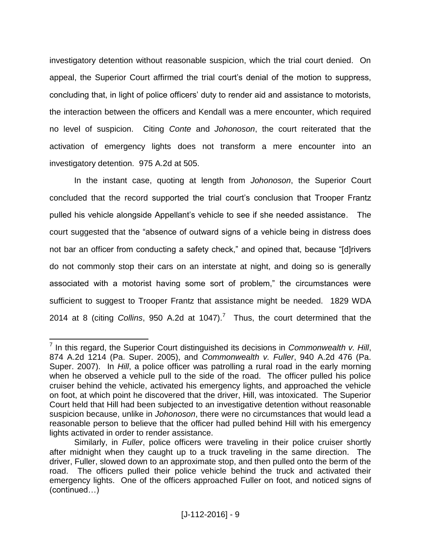investigatory detention without reasonable suspicion, which the trial court denied. On appeal, the Superior Court affirmed the trial court's denial of the motion to suppress, concluding that, in light of police officers' duty to render aid and assistance to motorists, the interaction between the officers and Kendall was a mere encounter, which required no level of suspicion. Citing *Conte* and *Johonoson*, the court reiterated that the activation of emergency lights does not transform a mere encounter into an investigatory detention. 975 A.2d at 505.

In the instant case, quoting at length from *Johonoson*, the Superior Court concluded that the record supported the trial court's conclusion that Trooper Frantz pulled his vehicle alongside Appellant's vehicle to see if she needed assistance. The court suggested that the "absence of outward signs of a vehicle being in distress does not bar an officer from conducting a safety check," and opined that, because "[d]rivers do not commonly stop their cars on an interstate at night, and doing so is generally associated with a motorist having some sort of problem," the circumstances were sufficient to suggest to Trooper Frantz that assistance might be needed. 1829 WDA 2014 at 8 (citing *Collins*, 950 A.2d at 1047).<sup>7</sup> Thus, the court determined that the

<sup>7</sup> In this regard, the Superior Court distinguished its decisions in *Commonwealth v. Hill*, 874 A.2d 1214 (Pa. Super. 2005), and *Commonwealth v. Fuller*, 940 A.2d 476 (Pa. Super. 2007). In *Hill*, a police officer was patrolling a rural road in the early morning when he observed a vehicle pull to the side of the road. The officer pulled his police cruiser behind the vehicle, activated his emergency lights, and approached the vehicle on foot, at which point he discovered that the driver, Hill, was intoxicated. The Superior Court held that Hill had been subjected to an investigative detention without reasonable suspicion because, unlike in *Johonoson*, there were no circumstances that would lead a reasonable person to believe that the officer had pulled behind Hill with his emergency lights activated in order to render assistance.

Similarly, in *Fuller*, police officers were traveling in their police cruiser shortly after midnight when they caught up to a truck traveling in the same direction. The driver, Fuller, slowed down to an approximate stop, and then pulled onto the berm of the road. The officers pulled their police vehicle behind the truck and activated their emergency lights. One of the officers approached Fuller on foot, and noticed signs of (continued…)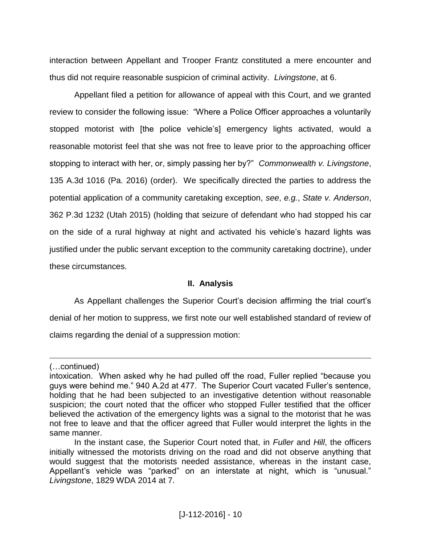interaction between Appellant and Trooper Frantz constituted a mere encounter and thus did not require reasonable suspicion of criminal activity. *Livingstone*, at 6.

Appellant filed a petition for allowance of appeal with this Court, and we granted review to consider the following issue: "Where a Police Officer approaches a voluntarily stopped motorist with [the police vehicle's] emergency lights activated, would a reasonable motorist feel that she was not free to leave prior to the approaching officer stopping to interact with her, or, simply passing her by?" *Commonwealth v. Livingstone*, 135 A.3d 1016 (Pa. 2016) (order). We specifically directed the parties to address the potential application of a community caretaking exception, *see*, *e.g.*, *State v. Anderson*, 362 P.3d 1232 (Utah 2015) (holding that seizure of defendant who had stopped his car on the side of a rural highway at night and activated his vehicle's hazard lights was justified under the public servant exception to the community caretaking doctrine), under these circumstances.

## **II. Analysis**

As Appellant challenges the Superior Court's decision affirming the trial court's denial of her motion to suppress, we first note our well established standard of review of claims regarding the denial of a suppression motion:

<sup>(…</sup>continued)

intoxication. When asked why he had pulled off the road, Fuller replied "because you guys were behind me." 940 A.2d at 477. The Superior Court vacated Fuller's sentence, holding that he had been subjected to an investigative detention without reasonable suspicion; the court noted that the officer who stopped Fuller testified that the officer believed the activation of the emergency lights was a signal to the motorist that he was not free to leave and that the officer agreed that Fuller would interpret the lights in the same manner.

In the instant case, the Superior Court noted that, in *Fuller* and *Hill*, the officers initially witnessed the motorists driving on the road and did not observe anything that would suggest that the motorists needed assistance, whereas in the instant case, Appellant's vehicle was "parked" on an interstate at night, which is "unusual." *Livingstone*, 1829 WDA 2014 at 7.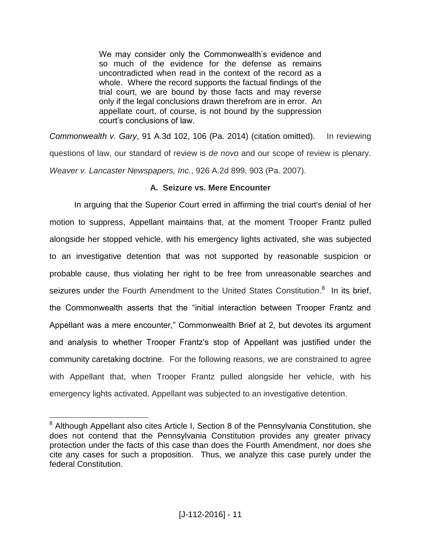We may consider only the Commonwealth's evidence and so much of the evidence for the defense as remains uncontradicted when read in the context of the record as a whole. Where the record supports the factual findings of the trial court, we are bound by those facts and may reverse only if the legal conclusions drawn therefrom are in error. An appellate court, of course, is not bound by the suppression court's conclusions of law.

*Commonwealth v. Gary*, 91 A.3d 102, 106 (Pa. 2014) (citation omitted). In reviewing questions of law, our standard of review is *de novo* and our scope of review is plenary. *Weaver v. Lancaster Newspapers, Inc.*, 926 A.2d 899, 903 (Pa. 2007).

# **A. Seizure vs. Mere Encounter**

In arguing that the Superior Court erred in affirming the trial court's denial of her motion to suppress, Appellant maintains that, at the moment Trooper Frantz pulled alongside her stopped vehicle, with his emergency lights activated, she was subjected to an investigative detention that was not supported by reasonable suspicion or probable cause, thus violating her right to be free from unreasonable searches and seizures under the Fourth Amendment to the United States Constitution.<sup>8</sup> In its brief, the Commonwealth asserts that the "initial interaction between Trooper Frantz and Appellant was a mere encounter," Commonwealth Brief at 2, but devotes its argument and analysis to whether Trooper Frantz's stop of Appellant was justified under the community caretaking doctrine. For the following reasons, we are constrained to agree with Appellant that, when Trooper Frantz pulled alongside her vehicle, with his emergency lights activated, Appellant was subjected to an investigative detention.

<sup>&</sup>lt;sup>8</sup> Although Appellant also cites Article I, Section 8 of the Pennsylvania Constitution, she does not contend that the Pennsylvania Constitution provides any greater privacy protection under the facts of this case than does the Fourth Amendment, nor does she cite any cases for such a proposition. Thus, we analyze this case purely under the federal Constitution.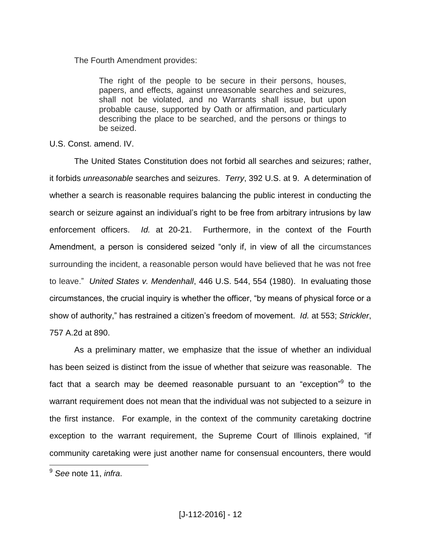The Fourth Amendment provides:

The right of the people to be secure in their persons, houses, papers, and effects, against unreasonable searches and seizures, shall not be violated, and no Warrants shall issue, but upon probable cause, supported by Oath or affirmation, and particularly describing the place to be searched, and the persons or things to be seized.

U.S. Const. amend. IV.

The United States Constitution does not forbid all searches and seizures; rather, it forbids *unreasonable* searches and seizures. *Terry*, 392 U.S. at 9. A determination of whether a search is reasonable requires balancing the public interest in conducting the search or seizure against an individual's right to be free from arbitrary intrusions by law enforcement officers. *Id.* at 20-21. Furthermore, in the context of the Fourth Amendment, a person is considered seized "only if, in view of all the circumstances surrounding the incident, a reasonable person would have believed that he was not free to leave." *United States v. Mendenhall*, 446 U.S. 544, 554 (1980). In evaluating those circumstances, the crucial inquiry is whether the officer, "by means of physical force or a show of authority," has restrained a citizen's freedom of movement. *Id.* at 553; *Strickler*, 757 A.2d at 890.

As a preliminary matter, we emphasize that the issue of whether an individual has been seized is distinct from the issue of whether that seizure was reasonable. The fact that a search may be deemed reasonable pursuant to an "exception"<sup>9</sup> to the warrant requirement does not mean that the individual was not subjected to a seizure in the first instance. For example, in the context of the community caretaking doctrine exception to the warrant requirement, the Supreme Court of Illinois explained, "if community caretaking were just another name for consensual encounters, there would

<sup>9</sup> *See* note 11, *infra*.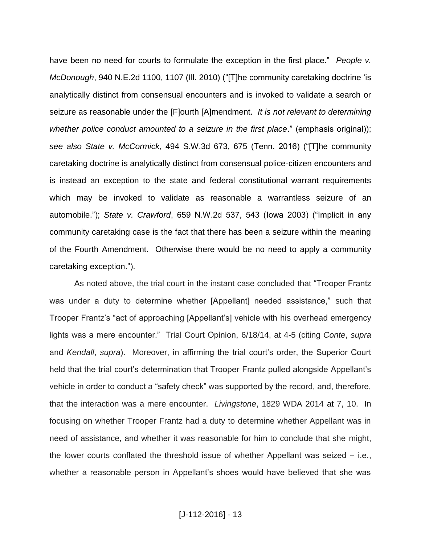have been no need for courts to formulate the exception in the first place." *People v. McDonough*, 940 N.E.2d 1100, 1107 (Ill. 2010) ("[T]he community caretaking doctrine 'is analytically distinct from consensual encounters and is invoked to validate a search or seizure as reasonable under the [F]ourth [A]mendment. *It is not relevant to determining whether police conduct amounted to a seizure in the first place*." (emphasis original)); *see also State v. McCormick*, 494 S.W.3d 673, 675 (Tenn. 2016) ("[T]he community caretaking doctrine is analytically distinct from consensual police-citizen encounters and is instead an exception to the state and federal constitutional warrant requirements which may be invoked to validate as reasonable a warrantless seizure of an automobile."); *State v. Crawford*, 659 N.W.2d 537, 543 (Iowa 2003) ("Implicit in any community caretaking case is the fact that there has been a seizure within the meaning of the Fourth Amendment. Otherwise there would be no need to apply a community caretaking exception.").

As noted above, the trial court in the instant case concluded that "Trooper Frantz was under a duty to determine whether [Appellant] needed assistance," such that Trooper Frantz's "act of approaching [Appellant's] vehicle with his overhead emergency lights was a mere encounter." Trial Court Opinion, 6/18/14, at 4-5 (citing *Conte*, *supra* and *Kendall*, *supra*). Moreover, in affirming the trial court's order, the Superior Court held that the trial court's determination that Trooper Frantz pulled alongside Appellant's vehicle in order to conduct a "safety check" was supported by the record, and, therefore, that the interaction was a mere encounter. *Livingstone*, 1829 WDA 2014 at 7, 10. In focusing on whether Trooper Frantz had a duty to determine whether Appellant was in need of assistance, and whether it was reasonable for him to conclude that she might, the lower courts conflated the threshold issue of whether Appellant was seized − i.e., whether a reasonable person in Appellant's shoes would have believed that she was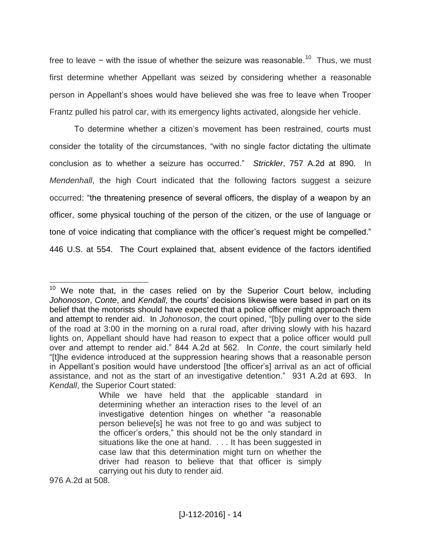free to leave − with the issue of whether the seizure was reasonable.<sup>10</sup> Thus, we must first determine whether Appellant was seized by considering whether a reasonable person in Appellant's shoes would have believed she was free to leave when Trooper Frantz pulled his patrol car, with its emergency lights activated, alongside her vehicle.

To determine whether a citizen's movement has been restrained, courts must consider the totality of the circumstances, "with no single factor dictating the ultimate conclusion as to whether a seizure has occurred." *Strickler*, 757 A.2d at 890. In *Mendenhall*, the high Court indicated that the following factors suggest a seizure occurred: "the threatening presence of several officers, the display of a weapon by an officer, some physical touching of the person of the citizen, or the use of language or tone of voice indicating that compliance with the officer's request might be compelled." 446 U.S. at 554. The Court explained that, absent evidence of the factors identified

976 A.2d at 508.

 $10$  We note that, in the cases relied on by the Superior Court below, including *Johonoson*, *Conte*, and *Kendall*, the courts' decisions likewise were based in part on its belief that the motorists should have expected that a police officer might approach them and attempt to render aid. In *Johonoson*, the court opined, "[b]y pulling over to the side of the road at 3:00 in the morning on a rural road, after driving slowly with his hazard lights on, Appellant should have had reason to expect that a police officer would pull over and attempt to render aid." 844 A.2d at 562. In *Conte*, the court similarly held "[t]he evidence introduced at the suppression hearing shows that a reasonable person in Appellant's position would have understood [the officer's] arrival as an act of official assistance, and not as the start of an investigative detention." 931 A.2d at 693. In *Kendall*, the Superior Court stated:

While we have held that the applicable standard in determining whether an interaction rises to the level of an investigative detention hinges on whether "a reasonable person believe[s] he was not free to go and was subject to the officer's orders," this should not be the only standard in situations like the one at hand. . . . It has been suggested in case law that this determination might turn on whether the driver had reason to believe that that officer is simply carrying out his duty to render aid.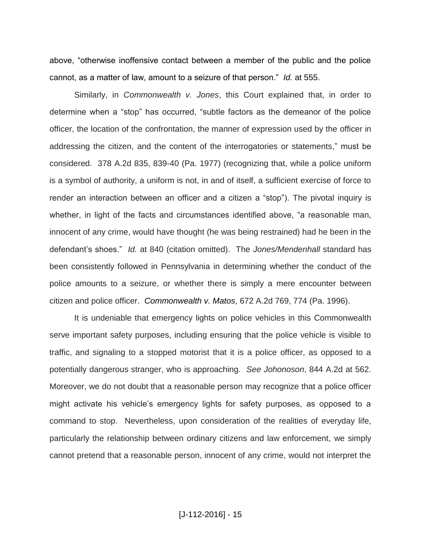above, "otherwise inoffensive contact between a member of the public and the police cannot, as a matter of law, amount to a seizure of that person." *Id.* at 555.

Similarly, in *Commonwealth v. Jones*, this Court explained that, in order to determine when a "stop" has occurred, "subtle factors as the demeanor of the police officer, the location of the confrontation, the manner of expression used by the officer in addressing the citizen, and the content of the interrogatories or statements," must be considered. 378 A.2d 835, 839-40 (Pa. 1977) (recognizing that, while a police uniform is a symbol of authority, a uniform is not, in and of itself, a sufficient exercise of force to render an interaction between an officer and a citizen a "stop"). The pivotal inquiry is whether, in light of the facts and circumstances identified above, "a reasonable man, innocent of any crime, would have thought (he was being restrained) had he been in the defendant's shoes." *Id.* at 840 (citation omitted). The *Jones/Mendenhall* standard has been consistently followed in Pennsylvania in determining whether the conduct of the police amounts to a seizure, or whether there is simply a mere encounter between citizen and police officer. *Commonwealth v. Matos*, 672 A.2d 769, 774 (Pa. 1996).

It is undeniable that emergency lights on police vehicles in this Commonwealth serve important safety purposes, including ensuring that the police vehicle is visible to traffic, and signaling to a stopped motorist that it is a police officer, as opposed to a potentially dangerous stranger, who is approaching. *See Johonoson*, 844 A.2d at 562. Moreover, we do not doubt that a reasonable person may recognize that a police officer might activate his vehicle's emergency lights for safety purposes, as opposed to a command to stop. Nevertheless, upon consideration of the realities of everyday life, particularly the relationship between ordinary citizens and law enforcement, we simply cannot pretend that a reasonable person, innocent of any crime, would not interpret the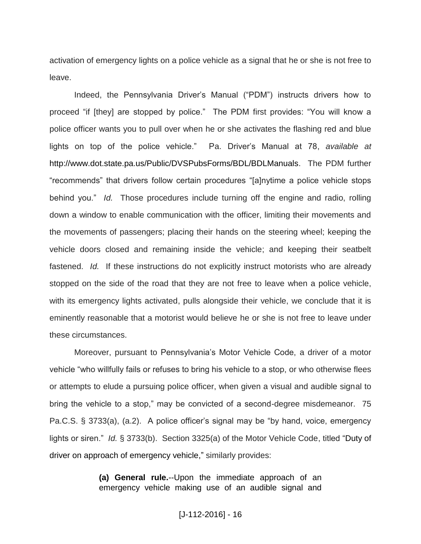activation of emergency lights on a police vehicle as a signal that he or she is not free to leave.

Indeed, the Pennsylvania Driver's Manual ("PDM") instructs drivers how to proceed "if [they] are stopped by police." The PDM first provides: "You will know a police officer wants you to pull over when he or she activates the flashing red and blue lights on top of the police vehicle." Pa. Driver's Manual at 78, *available at*  http://www.dot.state.pa.us/Public/DVSPubsForms/BDL/BDLManuals. The PDM further "recommends" that drivers follow certain procedures "[a]nytime a police vehicle stops behind you." *Id.* Those procedures include turning off the engine and radio, rolling down a window to enable communication with the officer, limiting their movements and the movements of passengers; placing their hands on the steering wheel; keeping the vehicle doors closed and remaining inside the vehicle; and keeping their seatbelt fastened. *Id.* If these instructions do not explicitly instruct motorists who are already stopped on the side of the road that they are not free to leave when a police vehicle, with its emergency lights activated, pulls alongside their vehicle, we conclude that it is eminently reasonable that a motorist would believe he or she is not free to leave under these circumstances.

Moreover, pursuant to Pennsylvania's Motor Vehicle Code, a driver of a motor vehicle "who willfully fails or refuses to bring his vehicle to a stop, or who otherwise flees or attempts to elude a pursuing police officer, when given a visual and audible signal to bring the vehicle to a stop," may be convicted of a second-degree misdemeanor. 75 Pa.C.S. § 3733(a), (a.2). A police officer's signal may be "by hand, voice, emergency lights or siren." *Id.* § 3733(b). Section 3325(a) of the Motor Vehicle Code, titled "Duty of driver on approach of emergency vehicle," similarly provides:

> **(a) General rule.**--Upon the immediate approach of an emergency vehicle making use of an audible signal and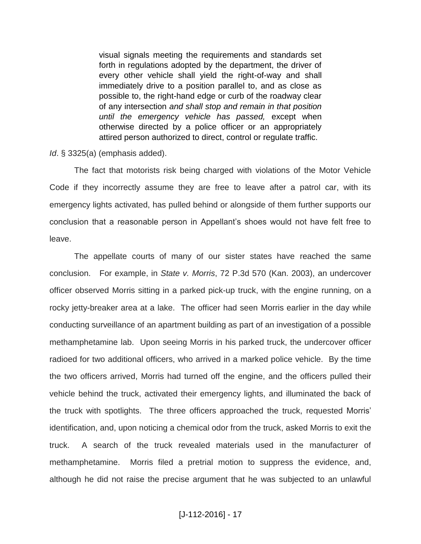visual signals meeting the requirements and standards set forth in regulations adopted by the department, the driver of every other vehicle shall yield the right-of-way and shall immediately drive to a position parallel to, and as close as possible to, the right-hand edge or curb of the roadway clear of any intersection *and shall stop and remain in that position until the emergency vehicle has passed,* except when otherwise directed by a police officer or an appropriately attired person authorized to direct, control or regulate traffic.

*Id*. § 3325(a) (emphasis added).

The fact that motorists risk being charged with violations of the Motor Vehicle Code if they incorrectly assume they are free to leave after a patrol car, with its emergency lights activated, has pulled behind or alongside of them further supports our conclusion that a reasonable person in Appellant's shoes would not have felt free to leave.

The appellate courts of many of our sister states have reached the same conclusion. For example, in *State v. Morris*, 72 P.3d 570 (Kan. 2003), an undercover officer observed Morris sitting in a parked pick-up truck, with the engine running, on a rocky jetty-breaker area at a lake. The officer had seen Morris earlier in the day while conducting surveillance of an apartment building as part of an investigation of a possible methamphetamine lab. Upon seeing Morris in his parked truck, the undercover officer radioed for two additional officers, who arrived in a marked police vehicle. By the time the two officers arrived, Morris had turned off the engine, and the officers pulled their vehicle behind the truck, activated their emergency lights, and illuminated the back of the truck with spotlights. The three officers approached the truck, requested Morris' identification, and, upon noticing a chemical odor from the truck, asked Morris to exit the truck. A search of the truck revealed materials used in the manufacturer of methamphetamine. Morris filed a pretrial motion to suppress the evidence, and, although he did not raise the precise argument that he was subjected to an unlawful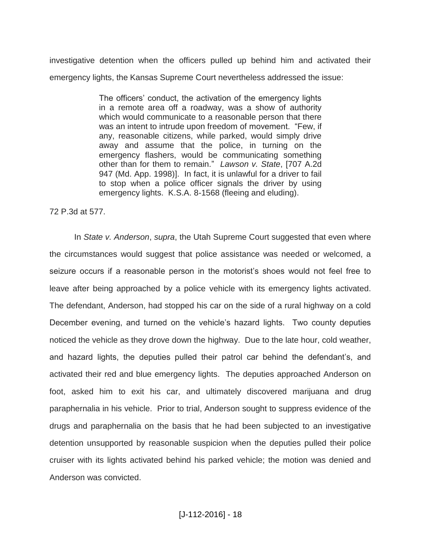investigative detention when the officers pulled up behind him and activated their emergency lights, the Kansas Supreme Court nevertheless addressed the issue:

> The officers' conduct, the activation of the emergency lights in a remote area off a roadway, was a show of authority which would communicate to a reasonable person that there was an intent to intrude upon freedom of movement. "Few, if any, reasonable citizens, while parked, would simply drive away and assume that the police, in turning on the emergency flashers, would be communicating something other than for them to remain." *Lawson v. State*, [707 A.2d 947 (Md. App. 1998)]. In fact, it is unlawful for a driver to fail to stop when a police officer signals the driver by using emergency lights. K.S.A. 8-1568 (fleeing and eluding).

#### 72 P.3d at 577.

In *State v. Anderson*, *supra*, the Utah Supreme Court suggested that even where the circumstances would suggest that police assistance was needed or welcomed, a seizure occurs if a reasonable person in the motorist's shoes would not feel free to leave after being approached by a police vehicle with its emergency lights activated. The defendant, Anderson, had stopped his car on the side of a rural highway on a cold December evening, and turned on the vehicle's hazard lights. Two county deputies noticed the vehicle as they drove down the highway. Due to the late hour, cold weather, and hazard lights, the deputies pulled their patrol car behind the defendant's, and activated their red and blue emergency lights. The deputies approached Anderson on foot, asked him to exit his car, and ultimately discovered marijuana and drug paraphernalia in his vehicle. Prior to trial, Anderson sought to suppress evidence of the drugs and paraphernalia on the basis that he had been subjected to an investigative detention unsupported by reasonable suspicion when the deputies pulled their police cruiser with its lights activated behind his parked vehicle; the motion was denied and Anderson was convicted.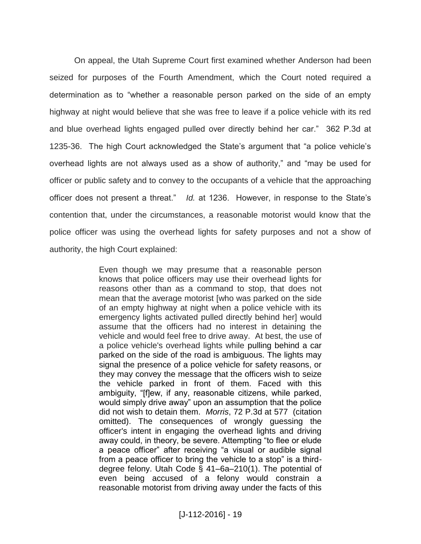On appeal, the Utah Supreme Court first examined whether Anderson had been seized for purposes of the Fourth Amendment, which the Court noted required a determination as to "whether a reasonable person parked on the side of an empty highway at night would believe that she was free to leave if a police vehicle with its red and blue overhead lights engaged pulled over directly behind her car." 362 P.3d at 1235-36. The high Court acknowledged the State's argument that "a police vehicle's overhead lights are not always used as a show of authority," and "may be used for officer or public safety and to convey to the occupants of a vehicle that the approaching officer does not present a threat." *Id.* at 1236. However, in response to the State's contention that, under the circumstances, a reasonable motorist would know that the police officer was using the overhead lights for safety purposes and not a show of authority, the high Court explained:

> Even though we may presume that a reasonable person knows that police officers may use their overhead lights for reasons other than as a command to stop, that does not mean that the average motorist [who was parked on the side of an empty highway at night when a police vehicle with its emergency lights activated pulled directly behind her] would assume that the officers had no interest in detaining the vehicle and would feel free to drive away. At best, the use of a police vehicle's overhead lights while pulling behind a car parked on the side of the road is ambiguous. The lights may signal the presence of a police vehicle for safety reasons, or they may convey the message that the officers wish to seize the vehicle parked in front of them. Faced with this ambiguity, "[f]ew, if any, reasonable citizens, while parked, would simply drive away" upon an assumption that the police did not wish to detain them. *Morris*, 72 P.3d at 577 (citation omitted). The consequences of wrongly guessing the officer's intent in engaging the overhead lights and driving away could, in theory, be severe. Attempting "to flee or elude a peace officer" after receiving "a visual or audible signal from a peace officer to bring the vehicle to a stop" is a thirddegree felony. Utah Code § 41–6a–210(1). The potential of even being accused of a felony would constrain a reasonable motorist from driving away under the facts of this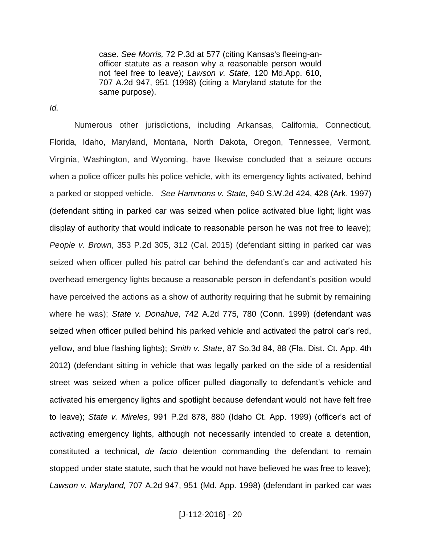case. *See Morris,* 72 P.3d at 577 (citing Kansas's fleeing-anofficer statute as a reason why a reasonable person would not feel free to leave); *Lawson v. State,* 120 Md.App. 610, 707 A.2d 947, 951 (1998) (citing a Maryland statute for the same purpose).

*Id.*

Numerous other jurisdictions, including Arkansas, California, Connecticut, Florida, Idaho, Maryland, Montana, North Dakota, Oregon, Tennessee, Vermont, Virginia, Washington, and Wyoming, have likewise concluded that a seizure occurs when a police officer pulls his police vehicle, with its emergency lights activated, behind a parked or stopped vehicle. *See Hammons v. State,* 940 S.W.2d 424, 428 (Ark. 1997) (defendant sitting in parked car was seized when police activated blue light; light was display of authority that would indicate to reasonable person he was not free to leave); *People v. Brown*, 353 P.2d 305, 312 (Cal. 2015) (defendant sitting in parked car was seized when officer pulled his patrol car behind the defendant's car and activated his overhead emergency lights because a reasonable person in defendant's position would have perceived the actions as a show of authority requiring that he submit by remaining where he was); *State v. Donahue,* 742 A.2d 775, 780 (Conn. 1999) (defendant was seized when officer pulled behind his parked vehicle and activated the patrol car's red, yellow, and blue flashing lights); *Smith v. State*, 87 So.3d 84, 88 (Fla. Dist. Ct. App. 4th 2012) (defendant sitting in vehicle that was legally parked on the side of a residential street was seized when a police officer pulled diagonally to defendant's vehicle and activated his emergency lights and spotlight because defendant would not have felt free to leave); *State v. Mireles*, 991 P.2d 878, 880 (Idaho Ct. App. 1999) (officer's act of activating emergency lights, although not necessarily intended to create a detention, constituted a technical, *de facto* detention commanding the defendant to remain stopped under state statute, such that he would not have believed he was free to leave); *Lawson v. Maryland,* 707 A.2d 947, 951 (Md. App. 1998) (defendant in parked car was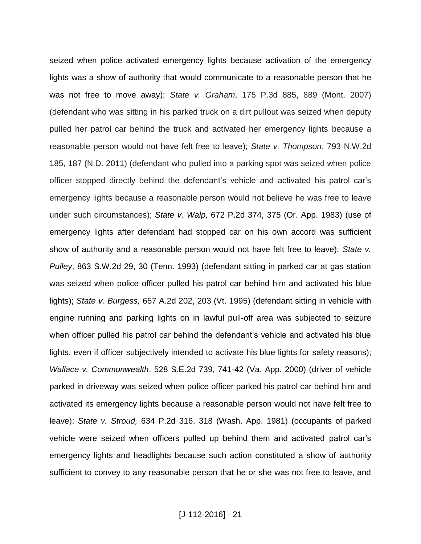seized when police activated emergency lights because activation of the emergency lights was a show of authority that would communicate to a reasonable person that he was not free to move away); *State v. Graham*, 175 P.3d 885, 889 (Mont. 2007) (defendant who was sitting in his parked truck on a dirt pullout was seized when deputy pulled her patrol car behind the truck and activated her emergency lights because a reasonable person would not have felt free to leave); *State v. Thompson*, 793 N.W.2d 185, 187 (N.D. 2011) (defendant who pulled into a parking spot was seized when police officer stopped directly behind the defendant's vehicle and activated his patrol car's emergency lights because a reasonable person would not believe he was free to leave under such circumstances); *State v. Walp,* 672 P.2d 374, 375 (Or. App. 1983) (use of emergency lights after defendant had stopped car on his own accord was sufficient show of authority and a reasonable person would not have felt free to leave); *State v. Pulley*, 863 S.W.2d 29, 30 (Tenn. 1993) (defendant sitting in parked car at gas station was seized when police officer pulled his patrol car behind him and activated his blue lights); *State v. Burgess,* 657 A.2d 202, 203 (Vt. 1995) (defendant sitting in vehicle with engine running and parking lights on in lawful pull-off area was subjected to seizure when officer pulled his patrol car behind the defendant's vehicle and activated his blue lights, even if officer subjectively intended to activate his blue lights for safety reasons); *Wallace v. Commonwealth*, 528 S.E.2d 739, 741-42 (Va. App. 2000) (driver of vehicle parked in driveway was seized when police officer parked his patrol car behind him and activated its emergency lights because a reasonable person would not have felt free to leave); *State v. Stroud,* 634 P.2d 316, 318 (Wash. App. 1981) (occupants of parked vehicle were seized when officers pulled up behind them and activated patrol car's emergency lights and headlights because such action constituted a show of authority sufficient to convey to any reasonable person that he or she was not free to leave, and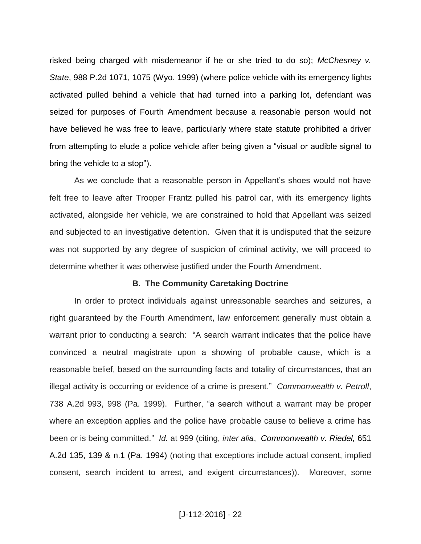risked being charged with misdemeanor if he or she tried to do so); *McChesney v. State*, 988 P.2d 1071, 1075 (Wyo. 1999) (where police vehicle with its emergency lights activated pulled behind a vehicle that had turned into a parking lot, defendant was seized for purposes of Fourth Amendment because a reasonable person would not have believed he was free to leave, particularly where state statute prohibited a driver from attempting to elude a police vehicle after being given a "visual or audible signal to bring the vehicle to a stop").

As we conclude that a reasonable person in Appellant's shoes would not have felt free to leave after Trooper Frantz pulled his patrol car, with its emergency lights activated, alongside her vehicle, we are constrained to hold that Appellant was seized and subjected to an investigative detention. Given that it is undisputed that the seizure was not supported by any degree of suspicion of criminal activity, we will proceed to determine whether it was otherwise justified under the Fourth Amendment.

#### **B. The Community Caretaking Doctrine**

In order to protect individuals against unreasonable searches and seizures, a right guaranteed by the Fourth Amendment, law enforcement generally must obtain a warrant prior to conducting a search: "A search warrant indicates that the police have convinced a neutral magistrate upon a showing of probable cause, which is a reasonable belief, based on the surrounding facts and totality of circumstances, that an illegal activity is occurring or evidence of a crime is present." *Commonwealth v. Petroll*, 738 A.2d 993, 998 (Pa. 1999). Further, "a search without a warrant may be proper where an exception applies and the police have probable cause to believe a crime has been or is being committed." *Id.* at 999 (citing, *inter alia*, *Commonwealth v. Riedel,* 651 A.2d 135, 139 & n.1 (Pa. 1994) (noting that exceptions include actual consent, implied consent, search incident to arrest, and exigent circumstances)). Moreover, some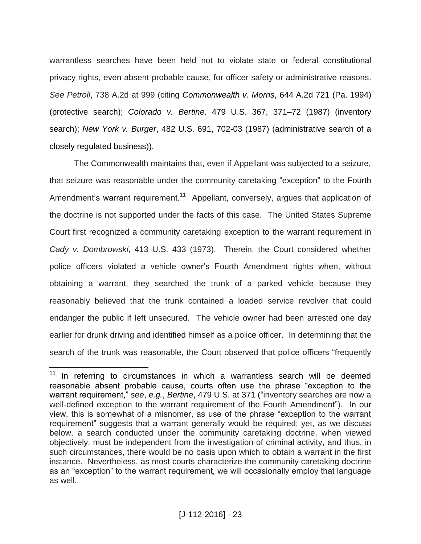warrantless searches have been held not to violate state or federal constitutional privacy rights, even absent probable cause, for officer safety or administrative reasons. *See Petroll*, 738 A.2d at 999 (citing *Commonwealth v. Morris*, 644 A.2d 721 (Pa. 1994) (protective search); *Colorado v. Bertine,* 479 U.S. 367, 371–72 (1987) (inventory search); *New York v. Burger*, 482 U.S. 691, 702-03 (1987) (administrative search of a closely regulated business)).

The Commonwealth maintains that, even if Appellant was subjected to a seizure, that seizure was reasonable under the community caretaking "exception" to the Fourth Amendment's warrant requirement.<sup>11</sup> Appellant, conversely, argues that application of the doctrine is not supported under the facts of this case. The United States Supreme Court first recognized a community caretaking exception to the warrant requirement in *Cady v. Dombrowski*, 413 U.S. 433 (1973). Therein, the Court considered whether police officers violated a vehicle owner's Fourth Amendment rights when, without obtaining a warrant, they searched the trunk of a parked vehicle because they reasonably believed that the trunk contained a loaded service revolver that could endanger the public if left unsecured. The vehicle owner had been arrested one day earlier for drunk driving and identified himself as a police officer. In determining that the search of the trunk was reasonable, the Court observed that police officers "frequently

In referring to circumstances in which a warrantless search will be deemed reasonable absent probable cause, courts often use the phrase "exception to the warrant requirement," *see*, *e.g.*, *Bertine*, 479 U.S. at 371 ("inventory searches are now a well-defined exception to the warrant requirement of the Fourth Amendment"). In our view, this is somewhat of a misnomer, as use of the phrase "exception to the warrant requirement" suggests that a warrant generally would be required; yet, as we discuss below, a search conducted under the community caretaking doctrine, when viewed objectively, must be independent from the investigation of criminal activity, and thus, in such circumstances, there would be no basis upon which to obtain a warrant in the first instance. Nevertheless, as most courts characterize the community caretaking doctrine as an "exception" to the warrant requirement, we will occasionally employ that language as well.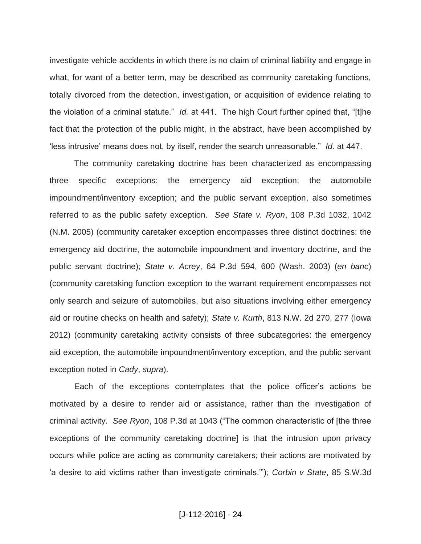investigate vehicle accidents in which there is no claim of criminal liability and engage in what, for want of a better term, may be described as community caretaking functions, totally divorced from the detection, investigation, or acquisition of evidence relating to the violation of a criminal statute." *Id.* at 441. The high Court further opined that, "[t]he fact that the protection of the public might, in the abstract, have been accomplished by 'less intrusive' means does not, by itself, render the search unreasonable." *Id.* at 447.

The community caretaking doctrine has been characterized as encompassing three specific exceptions: the emergency aid exception; the automobile impoundment/inventory exception; and the public servant exception, also sometimes referred to as the public safety exception. *See State v. Ryon*, 108 P.3d 1032, 1042 (N.M. 2005) (community caretaker exception encompasses three distinct doctrines: the emergency aid doctrine, the automobile impoundment and inventory doctrine, and the public servant doctrine); *State v. Acrey*, 64 P.3d 594, 600 (Wash. 2003) (*en banc*) (community caretaking function exception to the warrant requirement encompasses not only search and seizure of automobiles, but also situations involving either emergency aid or routine checks on health and safety); *State v. Kurth*, 813 N.W. 2d 270, 277 (Iowa 2012) (community caretaking activity consists of three subcategories: the emergency aid exception, the automobile impoundment/inventory exception, and the public servant exception noted in *Cady*, *supra*).

Each of the exceptions contemplates that the police officer's actions be motivated by a desire to render aid or assistance, rather than the investigation of criminal activity. *See Ryon*, 108 P.3d at 1043 ("The common characteristic of [the three exceptions of the community caretaking doctrine] is that the intrusion upon privacy occurs while police are acting as community caretakers; their actions are motivated by 'a desire to aid victims rather than investigate criminals.'"); *Corbin v State*, 85 S.W.3d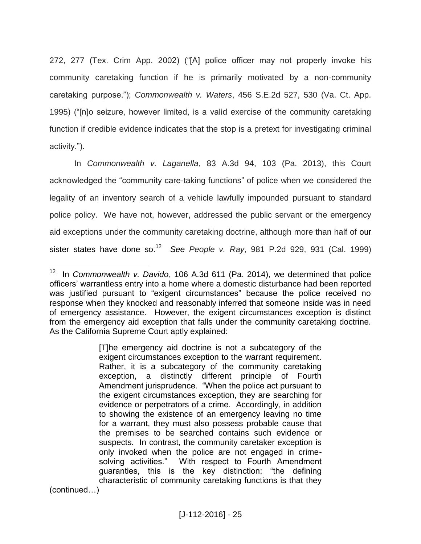272, 277 (Tex. Crim App. 2002) ("[A] police officer may not properly invoke his community caretaking function if he is primarily motivated by a non-community caretaking purpose."); *Commonwealth v. Waters*, 456 S.E.2d 527, 530 (Va. Ct. App. 1995) ("[n]o seizure, however limited, is a valid exercise of the community caretaking function if credible evidence indicates that the stop is a pretext for investigating criminal activity.").

In *Commonwealth v. Laganella*, 83 A.3d 94, 103 (Pa. 2013), this Court acknowledged the "community care-taking functions" of police when we considered the legality of an inventory search of a vehicle lawfully impounded pursuant to standard police policy. We have not, however, addressed the public servant or the emergency aid exceptions under the community caretaking doctrine, although more than half of our sister states have done so.<sup>12</sup> *See People v. Ray*, 981 P.2d 929, 931 (Cal. 1999)

 $\overline{a}$ 12 In *Commonwealth v. Davido*, 106 A.3d 611 (Pa. 2014), we determined that police officers' warrantless entry into a home where a domestic disturbance had been reported was justified pursuant to "exigent circumstances" because the police received no response when they knocked and reasonably inferred that someone inside was in need of emergency assistance. However, the exigent circumstances exception is distinct from the emergency aid exception that falls under the community caretaking doctrine. As the California Supreme Court aptly explained:

<sup>[</sup>T]he emergency aid doctrine is not a subcategory of the exigent circumstances exception to the warrant requirement. Rather, it is a subcategory of the community caretaking exception, a distinctly different principle of Fourth Amendment jurisprudence. "When the police act pursuant to the exigent circumstances exception, they are searching for evidence or perpetrators of a crime. Accordingly, in addition to showing the existence of an emergency leaving no time for a warrant, they must also possess probable cause that the premises to be searched contains such evidence or suspects. In contrast, the community caretaker exception is only invoked when the police are not engaged in crimesolving activities." With respect to Fourth Amendment guaranties, this is the key distinction: "the defining characteristic of community caretaking functions is that they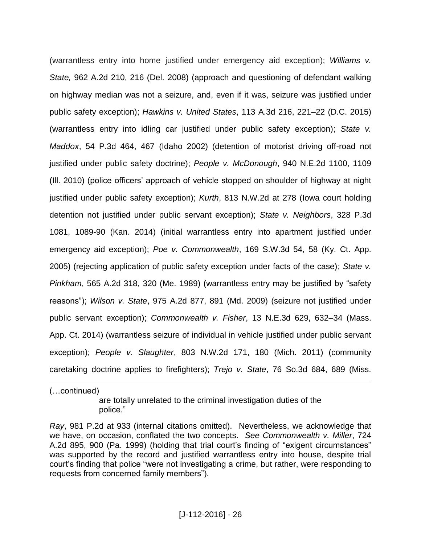(warrantless entry into home justified under emergency aid exception); *Williams v. State,* 962 A.2d 210, 216 (Del. 2008) (approach and questioning of defendant walking on highway median was not a seizure, and, even if it was, seizure was justified under public safety exception); *Hawkins v. United States*, 113 A.3d 216, 221–22 (D.C. 2015) (warrantless entry into idling car justified under public safety exception); *State v. Maddox*, 54 P.3d 464, 467 (Idaho 2002) (detention of motorist driving off-road not justified under public safety doctrine); *People v. McDonough*, 940 N.E.2d 1100, 1109 (Ill. 2010) (police officers' approach of vehicle stopped on shoulder of highway at night justified under public safety exception); *Kurth*, 813 N.W.2d at 278 (Iowa court holding detention not justified under public servant exception); *State v. Neighbors*, 328 P.3d 1081, 1089-90 (Kan. 2014) (initial warrantless entry into apartment justified under emergency aid exception); *Poe v. Commonwealth*, 169 S.W.3d 54, 58 (Ky. Ct. App. 2005) (rejecting application of public safety exception under facts of the case); *State v. Pinkham*, 565 A.2d 318, 320 (Me. 1989) (warrantless entry may be justified by "safety reasons"); *Wilson v. State*, 975 A.2d 877, 891 (Md. 2009) (seizure not justified under public servant exception); *Commonwealth v. Fisher*, 13 N.E.3d 629, 632–34 (Mass. App. Ct. 2014) (warrantless seizure of individual in vehicle justified under public servant exception); *People v. Slaughter*, 803 N.W.2d 171, 180 (Mich. 2011) (community caretaking doctrine applies to firefighters); *Trejo v. State*, 76 So.3d 684, 689 (Miss.

(…continued)

 $\overline{a}$ 

are totally unrelated to the criminal investigation duties of the police."

*Ray*, 981 P.2d at 933 (internal citations omitted). Nevertheless, we acknowledge that we have, on occasion, conflated the two concepts. *See Commonwealth v. Miller*, 724 A.2d 895, 900 (Pa. 1999) (holding that trial court's finding of "exigent circumstances" was supported by the record and justified warrantless entry into house, despite trial court's finding that police "were not investigating a crime, but rather, were responding to requests from concerned family members").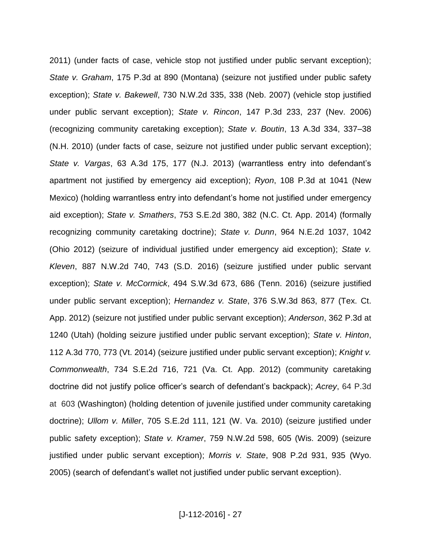2011) (under facts of case, vehicle stop not justified under public servant exception); *State v. Graham*, 175 P.3d at 890 (Montana) (seizure not justified under public safety exception); *State v. Bakewell*, 730 N.W.2d 335, 338 (Neb. 2007) (vehicle stop justified under public servant exception); *State v. Rincon*, 147 P.3d 233, 237 (Nev. 2006) (recognizing community caretaking exception); *State v. Boutin*, 13 A.3d 334, 337–38 (N.H. 2010) (under facts of case, seizure not justified under public servant exception); *State v. Vargas*, 63 A.3d 175, 177 (N.J. 2013) (warrantless entry into defendant's apartment not justified by emergency aid exception); *Ryon*, 108 P.3d at 1041 (New Mexico) (holding warrantless entry into defendant's home not justified under emergency aid exception); *State v. Smathers*, 753 S.E.2d 380, 382 (N.C. Ct. App. 2014) (formally recognizing community caretaking doctrine); *State v. Dunn*, 964 N.E.2d 1037, 1042 (Ohio 2012) (seizure of individual justified under emergency aid exception); *State v. Kleven*, 887 N.W.2d 740, 743 (S.D. 2016) (seizure justified under public servant exception); *State v. McCormick*, 494 S.W.3d 673, 686 (Tenn. 2016) (seizure justified under public servant exception); *Hernandez v. State*, 376 S.W.3d 863, 877 (Tex. Ct. App. 2012) (seizure not justified under public servant exception); *Anderson*, 362 P.3d at 1240 (Utah) (holding seizure justified under public servant exception); *State v. Hinton*, 112 A.3d 770, 773 (Vt. 2014) (seizure justified under public servant exception); *Knight v. Commonwealth*, 734 S.E.2d 716, 721 (Va. Ct. App. 2012) (community caretaking doctrine did not justify police officer's search of defendant's backpack); *Acrey*, 64 P.3d at 603 (Washington) (holding detention of juvenile justified under community caretaking doctrine); *Ullom v. Miller*, 705 S.E.2d 111, 121 (W. Va. 2010) (seizure justified under public safety exception); *State v. Kramer*, 759 N.W.2d 598, 605 (Wis. 2009) (seizure justified under public servant exception); *Morris v. State*, 908 P.2d 931, 935 (Wyo. 2005) (search of defendant's wallet not justified under public servant exception).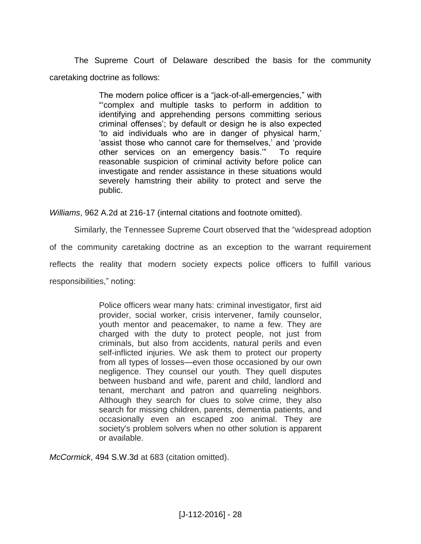The Supreme Court of Delaware described the basis for the community caretaking doctrine as follows:

> The modern police officer is a "jack-of-all-emergencies," with "'complex and multiple tasks to perform in addition to identifying and apprehending persons committing serious criminal offenses'; by default or design he is also expected 'to aid individuals who are in danger of physical harm,' 'assist those who cannot care for themselves,' and 'provide other services on an emergency basis.'" To require reasonable suspicion of criminal activity before police can investigate and render assistance in these situations would severely hamstring their ability to protect and serve the public.

*Williams*, 962 A.2d at 216-17 (internal citations and footnote omitted).

Similarly, the Tennessee Supreme Court observed that the "widespread adoption of the community caretaking doctrine as an exception to the warrant requirement reflects the reality that modern society expects police officers to fulfill various responsibilities," noting:

> Police officers wear many hats: criminal investigator, first aid provider, social worker, crisis intervener, family counselor, youth mentor and peacemaker, to name a few. They are charged with the duty to protect people, not just from criminals, but also from accidents, natural perils and even self-inflicted injuries. We ask them to protect our property from all types of losses—even those occasioned by our own negligence. They counsel our youth. They quell disputes between husband and wife, parent and child, landlord and tenant, merchant and patron and quarreling neighbors. Although they search for clues to solve crime, they also search for missing children, parents, dementia patients, and occasionally even an escaped zoo animal. They are society's problem solvers when no other solution is apparent or available.

*McCormick*, 494 S.W.3d at 683 (citation omitted).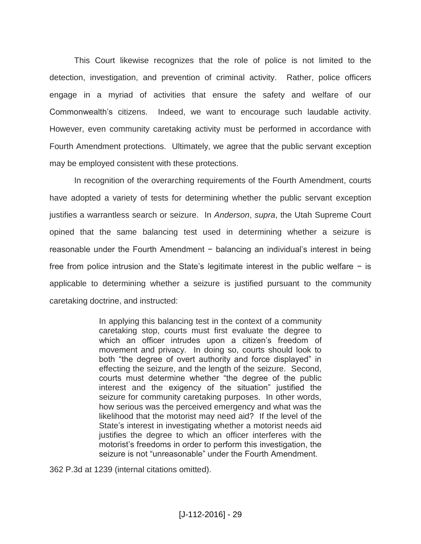This Court likewise recognizes that the role of police is not limited to the detection, investigation, and prevention of criminal activity. Rather, police officers engage in a myriad of activities that ensure the safety and welfare of our Commonwealth's citizens. Indeed, we want to encourage such laudable activity. However, even community caretaking activity must be performed in accordance with Fourth Amendment protections. Ultimately, we agree that the public servant exception may be employed consistent with these protections.

In recognition of the overarching requirements of the Fourth Amendment, courts have adopted a variety of tests for determining whether the public servant exception justifies a warrantless search or seizure. In *Anderson*, *supra*, the Utah Supreme Court opined that the same balancing test used in determining whether a seizure is reasonable under the Fourth Amendment − balancing an individual's interest in being free from police intrusion and the State's legitimate interest in the public welfare − is applicable to determining whether a seizure is justified pursuant to the community caretaking doctrine, and instructed:

> In applying this balancing test in the context of a community caretaking stop, courts must first evaluate the degree to which an officer intrudes upon a citizen's freedom of movement and privacy. In doing so, courts should look to both "the degree of overt authority and force displayed" in effecting the seizure, and the length of the seizure. Second, courts must determine whether "the degree of the public interest and the exigency of the situation" justified the seizure for community caretaking purposes. In other words, how serious was the perceived emergency and what was the likelihood that the motorist may need aid? If the level of the State's interest in investigating whether a motorist needs aid justifies the degree to which an officer interferes with the motorist's freedoms in order to perform this investigation, the seizure is not "unreasonable" under the Fourth Amendment.

362 P.3d at 1239 (internal citations omitted).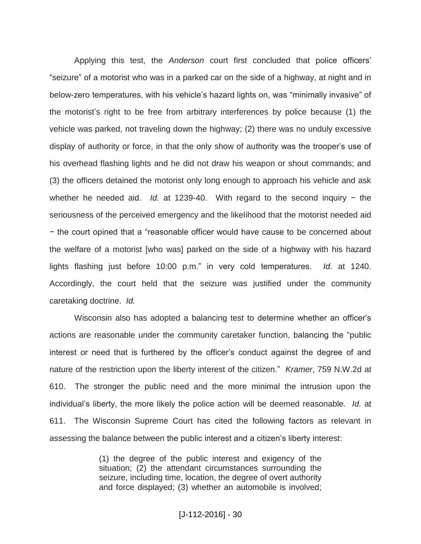Applying this test, the *Anderson* court first concluded that police officers' "seizure" of a motorist who was in a parked car on the side of a highway, at night and in below-zero temperatures, with his vehicle's hazard lights on, was "minimally invasive" of the motorist's right to be free from arbitrary interferences by police because (1) the vehicle was parked, not traveling down the highway; (2) there was no unduly excessive display of authority or force, in that the only show of authority was the trooper's use of his overhead flashing lights and he did not draw his weapon or shout commands; and (3) the officers detained the motorist only long enough to approach his vehicle and ask whether he needed aid. *Id.* at 1239-40. With regard to the second inquiry − the seriousness of the perceived emergency and the likelihood that the motorist needed aid − the court opined that a "reasonable officer would have cause to be concerned about the welfare of a motorist [who was] parked on the side of a highway with his hazard lights flashing just before 10:00 p.m." in very cold temperatures. *Id.* at 1240. Accordingly, the court held that the seizure was justified under the community caretaking doctrine. *Id.* 

Wisconsin also has adopted a balancing test to determine whether an officer's actions are reasonable under the community caretaker function, balancing the "public interest or need that is furthered by the officer's conduct against the degree of and nature of the restriction upon the liberty interest of the citizen." *Kramer*, 759 N.W.2d at 610. The stronger the public need and the more minimal the intrusion upon the individual's liberty, the more likely the police action will be deemed reasonable. *Id.* at 611. The Wisconsin Supreme Court has cited the following factors as relevant in assessing the balance between the public interest and a citizen's liberty interest:

> (1) the degree of the public interest and exigency of the situation; (2) the attendant circumstances surrounding the seizure, including time, location, the degree of overt authority and force displayed; (3) whether an automobile is involved;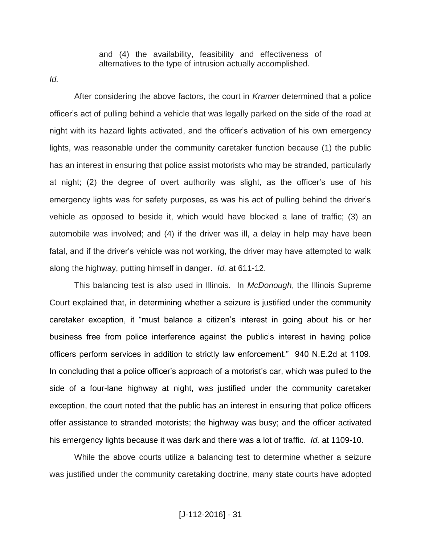and (4) the availability, feasibility and effectiveness of alternatives to the type of intrusion actually accomplished.

*Id.* 

After considering the above factors, the court in *Kramer* determined that a police officer's act of pulling behind a vehicle that was legally parked on the side of the road at night with its hazard lights activated, and the officer's activation of his own emergency lights, was reasonable under the community caretaker function because (1) the public has an interest in ensuring that police assist motorists who may be stranded, particularly at night; (2) the degree of overt authority was slight, as the officer's use of his emergency lights was for safety purposes, as was his act of pulling behind the driver's vehicle as opposed to beside it, which would have blocked a lane of traffic; (3) an automobile was involved; and (4) if the driver was ill, a delay in help may have been fatal, and if the driver's vehicle was not working, the driver may have attempted to walk along the highway, putting himself in danger. *Id.* at 611-12.

This balancing test is also used in Illinois. In *McDonough*, the Illinois Supreme Court explained that, in determining whether a seizure is justified under the community caretaker exception, it "must balance a citizen's interest in going about his or her business free from police interference against the public's interest in having police officers perform services in addition to strictly law enforcement." 940 N.E.2d at 1109. In concluding that a police officer's approach of a motorist's car, which was pulled to the side of a four-lane highway at night, was justified under the community caretaker exception, the court noted that the public has an interest in ensuring that police officers offer assistance to stranded motorists; the highway was busy; and the officer activated his emergency lights because it was dark and there was a lot of traffic. *Id.* at 1109-10.

While the above courts utilize a balancing test to determine whether a seizure was justified under the community caretaking doctrine, many state courts have adopted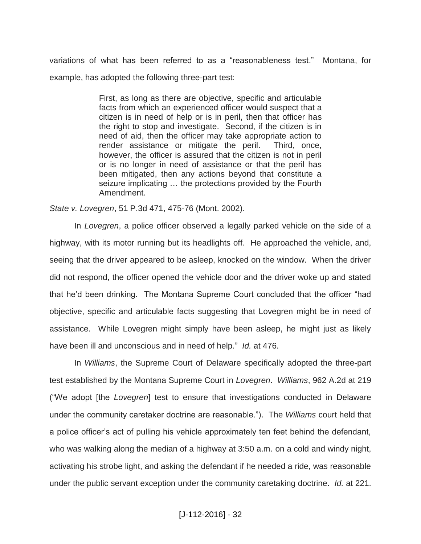variations of what has been referred to as a "reasonableness test." Montana, for example, has adopted the following three-part test:

> First, as long as there are objective, specific and articulable facts from which an experienced officer would suspect that a citizen is in need of help or is in peril, then that officer has the right to stop and investigate. Second, if the citizen is in need of aid, then the officer may take appropriate action to render assistance or mitigate the peril. Third, once, however, the officer is assured that the citizen is not in peril or is no longer in need of assistance or that the peril has been mitigated, then any actions beyond that constitute a seizure implicating … the protections provided by the Fourth Amendment.

*State v. Lovegren*, 51 P.3d 471, 475-76 (Mont. 2002).

In *Lovegren*, a police officer observed a legally parked vehicle on the side of a highway, with its motor running but its headlights off. He approached the vehicle, and, seeing that the driver appeared to be asleep, knocked on the window. When the driver did not respond, the officer opened the vehicle door and the driver woke up and stated that he'd been drinking. The Montana Supreme Court concluded that the officer "had objective, specific and articulable facts suggesting that Lovegren might be in need of assistance. While Lovegren might simply have been asleep, he might just as likely have been ill and unconscious and in need of help." *Id.* at 476.

In *Williams*, the Supreme Court of Delaware specifically adopted the three-part test established by the Montana Supreme Court in *Lovegren*. *Williams*, 962 A.2d at 219 ("We adopt [the *Lovegren*] test to ensure that investigations conducted in Delaware under the community caretaker doctrine are reasonable."). The *Williams* court held that a police officer's act of pulling his vehicle approximately ten feet behind the defendant, who was walking along the median of a highway at 3:50 a.m. on a cold and windy night, activating his strobe light, and asking the defendant if he needed a ride, was reasonable under the public servant exception under the community caretaking doctrine. *Id.* at 221.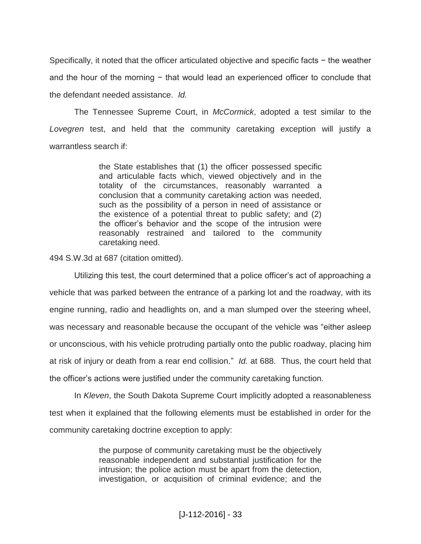Specifically, it noted that the officer articulated objective and specific facts − the weather and the hour of the morning − that would lead an experienced officer to conclude that the defendant needed assistance. *Id.*

The Tennessee Supreme Court, in *McCormick*, adopted a test similar to the *Lovegren* test, and held that the community caretaking exception will justify a warrantless search if:

> the State establishes that (1) the officer possessed specific and articulable facts which, viewed objectively and in the totality of the circumstances, reasonably warranted a conclusion that a community caretaking action was needed, such as the possibility of a person in need of assistance or the existence of a potential threat to public safety; and (2) the officer's behavior and the scope of the intrusion were reasonably restrained and tailored to the community caretaking need.

494 S.W.3d at 687 (citation omitted).

Utilizing this test, the court determined that a police officer's act of approaching a vehicle that was parked between the entrance of a parking lot and the roadway, with its engine running, radio and headlights on, and a man slumped over the steering wheel, was necessary and reasonable because the occupant of the vehicle was "either asleep or unconscious, with his vehicle protruding partially onto the public roadway, placing him at risk of injury or death from a rear end collision." *Id.* at 688. Thus, the court held that the officer's actions were justified under the community caretaking function.

In *Kleven*, the South Dakota Supreme Court implicitly adopted a reasonableness test when it explained that the following elements must be established in order for the community caretaking doctrine exception to apply:

> the purpose of community caretaking must be the objectively reasonable independent and substantial justification for the intrusion; the police action must be apart from the detection, investigation, or acquisition of criminal evidence; and the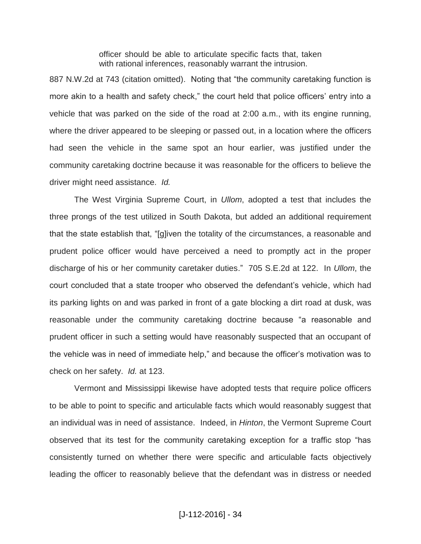officer should be able to articulate specific facts that, taken with rational inferences, reasonably warrant the intrusion.

887 N.W.2d at 743 (citation omitted). Noting that "the community caretaking function is more akin to a health and safety check," the court held that police officers' entry into a vehicle that was parked on the side of the road at 2:00 a.m., with its engine running, where the driver appeared to be sleeping or passed out, in a location where the officers had seen the vehicle in the same spot an hour earlier, was justified under the community caretaking doctrine because it was reasonable for the officers to believe the driver might need assistance. *Id.*

The West Virginia Supreme Court, in *Ullom*, adopted a test that includes the three prongs of the test utilized in South Dakota, but added an additional requirement that the state establish that, "[g]iven the totality of the circumstances, a reasonable and prudent police officer would have perceived a need to promptly act in the proper discharge of his or her community caretaker duties." 705 S.E.2d at 122. In *Ullom*, the court concluded that a state trooper who observed the defendant's vehicle, which had its parking lights on and was parked in front of a gate blocking a dirt road at dusk, was reasonable under the community caretaking doctrine because "a reasonable and prudent officer in such a setting would have reasonably suspected that an occupant of the vehicle was in need of immediate help," and because the officer's motivation was to check on her safety. *Id.* at 123.

Vermont and Mississippi likewise have adopted tests that require police officers to be able to point to specific and articulable facts which would reasonably suggest that an individual was in need of assistance. Indeed, in *Hinton*, the Vermont Supreme Court observed that its test for the community caretaking exception for a traffic stop "has consistently turned on whether there were specific and articulable facts objectively leading the officer to reasonably believe that the defendant was in distress or needed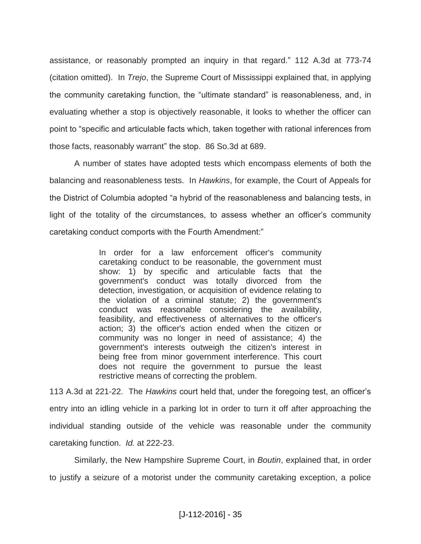assistance, or reasonably prompted an inquiry in that regard." 112 A.3d at 773-74 (citation omitted). In *Trejo*, the Supreme Court of Mississippi explained that, in applying the community caretaking function, the "ultimate standard" is reasonableness, and, in evaluating whether a stop is objectively reasonable, it looks to whether the officer can point to "specific and articulable facts which, taken together with rational inferences from those facts, reasonably warrant" the stop. 86 So.3d at 689.

A number of states have adopted tests which encompass elements of both the balancing and reasonableness tests. In *Hawkins*, for example, the Court of Appeals for the District of Columbia adopted "a hybrid of the reasonableness and balancing tests, in light of the totality of the circumstances, to assess whether an officer's community caretaking conduct comports with the Fourth Amendment:"

> In order for a law enforcement officer's community caretaking conduct to be reasonable, the government must show: 1) by specific and articulable facts that the government's conduct was totally divorced from the detection, investigation, or acquisition of evidence relating to the violation of a criminal statute; 2) the government's conduct was reasonable considering the availability, feasibility, and effectiveness of alternatives to the officer's action; 3) the officer's action ended when the citizen or community was no longer in need of assistance; 4) the government's interests outweigh the citizen's interest in being free from minor government interference. This court does not require the government to pursue the least restrictive means of correcting the problem.

113 A.3d at 221-22. The *Hawkins* court held that, under the foregoing test, an officer's entry into an idling vehicle in a parking lot in order to turn it off after approaching the individual standing outside of the vehicle was reasonable under the community caretaking function. *Id.* at 222-23.

Similarly, the New Hampshire Supreme Court, in *Boutin*, explained that, in order to justify a seizure of a motorist under the community caretaking exception, a police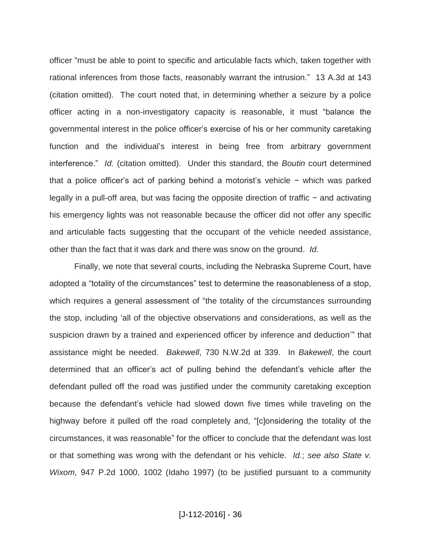officer "must be able to point to specific and articulable facts which, taken together with rational inferences from those facts, reasonably warrant the intrusion." 13 A.3d at 143 (citation omitted). The court noted that, in determining whether a seizure by a police officer acting in a non-investigatory capacity is reasonable, it must "balance the governmental interest in the police officer's exercise of his or her community caretaking function and the individual's interest in being free from arbitrary government interference." *Id.* (citation omitted). Under this standard, the *Boutin* court determined that a police officer's act of parking behind a motorist's vehicle − which was parked legally in a pull-off area, but was facing the opposite direction of traffic − and activating his emergency lights was not reasonable because the officer did not offer any specific and articulable facts suggesting that the occupant of the vehicle needed assistance, other than the fact that it was dark and there was snow on the ground. *Id.*

Finally, we note that several courts, including the Nebraska Supreme Court, have adopted a "totality of the circumstances" test to determine the reasonableness of a stop, which requires a general assessment of "the totality of the circumstances surrounding the stop, including 'all of the objective observations and considerations, as well as the suspicion drawn by a trained and experienced officer by inference and deduction'" that assistance might be needed. *Bakewell*, 730 N.W.2d at 339. In *Bakewell*, the court determined that an officer's act of pulling behind the defendant's vehicle after the defendant pulled off the road was justified under the community caretaking exception because the defendant's vehicle had slowed down five times while traveling on the highway before it pulled off the road completely and, "[c]onsidering the totality of the circumstances, it was reasonable" for the officer to conclude that the defendant was lost or that something was wrong with the defendant or his vehicle. *Id.*; *see also State v. Wixom*, 947 P.2d 1000, 1002 (Idaho 1997) (to be justified pursuant to a community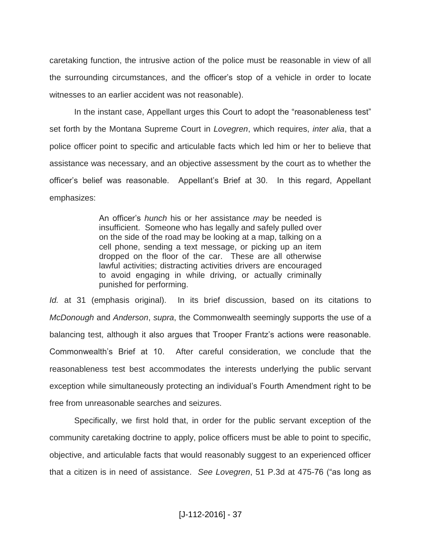caretaking function, the intrusive action of the police must be reasonable in view of all the surrounding circumstances, and the officer's stop of a vehicle in order to locate witnesses to an earlier accident was not reasonable).

In the instant case, Appellant urges this Court to adopt the "reasonableness test" set forth by the Montana Supreme Court in *Lovegren*, which requires, *inter alia*, that a police officer point to specific and articulable facts which led him or her to believe that assistance was necessary, and an objective assessment by the court as to whether the officer's belief was reasonable. Appellant's Brief at 30. In this regard, Appellant emphasizes:

> An officer's *hunch* his or her assistance *may* be needed is insufficient. Someone who has legally and safely pulled over on the side of the road may be looking at a map, talking on a cell phone, sending a text message, or picking up an item dropped on the floor of the car. These are all otherwise lawful activities; distracting activities drivers are encouraged to avoid engaging in while driving, or actually criminally punished for performing.

*Id.* at 31 (emphasis original). In its brief discussion, based on its citations to *McDonough* and *Anderson*, *supra*, the Commonwealth seemingly supports the use of a balancing test, although it also argues that Trooper Frantz's actions were reasonable. Commonwealth's Brief at 10. After careful consideration, we conclude that the reasonableness test best accommodates the interests underlying the public servant exception while simultaneously protecting an individual's Fourth Amendment right to be free from unreasonable searches and seizures.

Specifically, we first hold that, in order for the public servant exception of the community caretaking doctrine to apply, police officers must be able to point to specific, objective, and articulable facts that would reasonably suggest to an experienced officer that a citizen is in need of assistance. *See Lovegren*, 51 P.3d at 475-76 ("as long as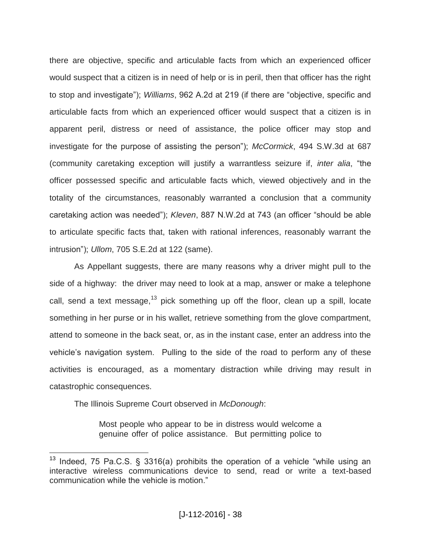there are objective, specific and articulable facts from which an experienced officer would suspect that a citizen is in need of help or is in peril, then that officer has the right to stop and investigate"); *Williams*, 962 A.2d at 219 (if there are "objective, specific and articulable facts from which an experienced officer would suspect that a citizen is in apparent peril, distress or need of assistance, the police officer may stop and investigate for the purpose of assisting the person"); *McCormick*, 494 S.W.3d at 687 (community caretaking exception will justify a warrantless seizure if, *inter alia*, "the officer possessed specific and articulable facts which, viewed objectively and in the totality of the circumstances, reasonably warranted a conclusion that a community caretaking action was needed"); *Kleven*, 887 N.W.2d at 743 (an officer "should be able to articulate specific facts that, taken with rational inferences, reasonably warrant the intrusion"); *Ullom*, 705 S.E.2d at 122 (same).

As Appellant suggests, there are many reasons why a driver might pull to the side of a highway: the driver may need to look at a map, answer or make a telephone call, send a text message,  $13$  pick something up off the floor, clean up a spill, locate something in her purse or in his wallet, retrieve something from the glove compartment, attend to someone in the back seat, or, as in the instant case, enter an address into the vehicle's navigation system. Pulling to the side of the road to perform any of these activities is encouraged, as a momentary distraction while driving may result in catastrophic consequences.

The Illinois Supreme Court observed in *McDonough*:

Most people who appear to be in distress would welcome a genuine offer of police assistance. But permitting police to

 $\overline{a}$ <sup>13</sup> Indeed, 75 Pa.C.S. § 3316(a) prohibits the operation of a vehicle "while using an interactive wireless communications device to send, read or write a text-based communication while the vehicle is motion."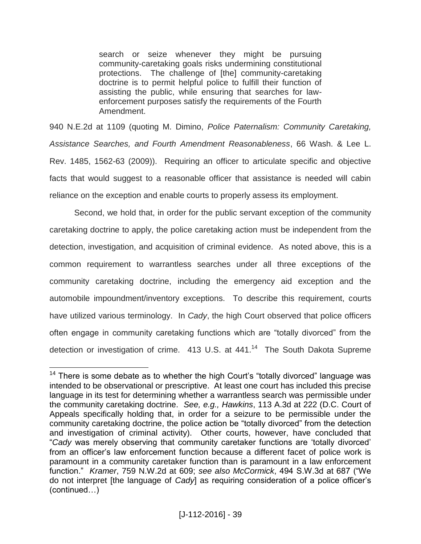search or seize whenever they might be pursuing community-caretaking goals risks undermining constitutional protections. The challenge of [the] community-caretaking doctrine is to permit helpful police to fulfill their function of assisting the public, while ensuring that searches for lawenforcement purposes satisfy the requirements of the Fourth Amendment.

940 N.E.2d at 1109 (quoting M. Dimino, *Police Paternalism: Community Caretaking, Assistance Searches, and Fourth Amendment Reasonableness*, 66 Wash. & Lee L. Rev. 1485, 1562-63 (2009)). Requiring an officer to articulate specific and objective facts that would suggest to a reasonable officer that assistance is needed will cabin reliance on the exception and enable courts to properly assess its employment.

Second, we hold that, in order for the public servant exception of the community caretaking doctrine to apply, the police caretaking action must be independent from the detection, investigation, and acquisition of criminal evidence. As noted above, this is a common requirement to warrantless searches under all three exceptions of the community caretaking doctrine, including the emergency aid exception and the automobile impoundment/inventory exceptions. To describe this requirement, courts have utilized various terminology. In *Cady*, the high Court observed that police officers often engage in community caretaking functions which are "totally divorced" from the detection or investigation of crime.  $413$  U.S. at  $441$ .<sup>14</sup> The South Dakota Supreme

 $14$  There is some debate as to whether the high Court's "totally divorced" language was intended to be observational or prescriptive. At least one court has included this precise language in its test for determining whether a warrantless search was permissible under the community caretaking doctrine. *See, e.g., Hawkins*, 113 A.3d at 222 (D.C. Court of Appeals specifically holding that, in order for a seizure to be permissible under the community caretaking doctrine, the police action be "totally divorced" from the detection and investigation of criminal activity). Other courts, however, have concluded that "*Cady* was merely observing that community caretaker functions are 'totally divorced' from an officer's law enforcement function because a different facet of police work is paramount in a community caretaker function than is paramount in a law enforcement function." *Kramer*, 759 N.W.2d at 609; *see also McCormick*, 494 S.W.3d at 687 ("We do not interpret [the language of *Cady*] as requiring consideration of a police officer's (continued…)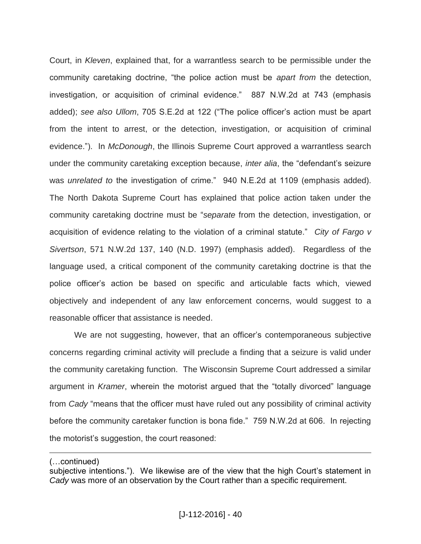Court, in *Kleven*, explained that, for a warrantless search to be permissible under the community caretaking doctrine, "the police action must be *apart from* the detection, investigation, or acquisition of criminal evidence." 887 N.W.2d at 743 (emphasis added); *see also Ullom*, 705 S.E.2d at 122 ("The police officer's action must be apart from the intent to arrest, or the detection, investigation, or acquisition of criminal evidence."). In *McDonough*, the Illinois Supreme Court approved a warrantless search under the community caretaking exception because, *inter alia*, the "defendant's seizure was *unrelated to* the investigation of crime." 940 N.E.2d at 1109 (emphasis added). The North Dakota Supreme Court has explained that police action taken under the community caretaking doctrine must be "*separate* from the detection, investigation, or acquisition of evidence relating to the violation of a criminal statute." *City of Fargo v Sivertson*, 571 N.W.2d 137, 140 (N.D. 1997) (emphasis added). Regardless of the language used, a critical component of the community caretaking doctrine is that the police officer's action be based on specific and articulable facts which, viewed objectively and independent of any law enforcement concerns, would suggest to a reasonable officer that assistance is needed.

We are not suggesting, however, that an officer's contemporaneous subjective concerns regarding criminal activity will preclude a finding that a seizure is valid under the community caretaking function. The Wisconsin Supreme Court addressed a similar argument in *Kramer*, wherein the motorist argued that the "totally divorced" language from *Cady* "means that the officer must have ruled out any possibility of criminal activity before the community caretaker function is bona fide." 759 N.W.2d at 606. In rejecting the motorist's suggestion, the court reasoned:

(…continued)

subjective intentions."). We likewise are of the view that the high Court's statement in *Cady* was more of an observation by the Court rather than a specific requirement.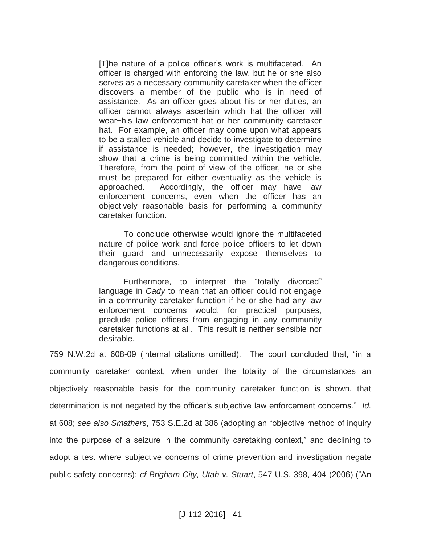[T]he nature of a police officer's work is multifaceted. An officer is charged with enforcing the law, but he or she also serves as a necessary community caretaker when the officer discovers a member of the public who is in need of assistance. As an officer goes about his or her duties, an officer cannot always ascertain which hat the officer will wear−his law enforcement hat or her community caretaker hat. For example, an officer may come upon what appears to be a stalled vehicle and decide to investigate to determine if assistance is needed; however, the investigation may show that a crime is being committed within the vehicle. Therefore, from the point of view of the officer, he or she must be prepared for either eventuality as the vehicle is approached. Accordingly, the officer may have law enforcement concerns, even when the officer has an objectively reasonable basis for performing a community caretaker function.

To conclude otherwise would ignore the multifaceted nature of police work and force police officers to let down their guard and unnecessarily expose themselves to dangerous conditions.

Furthermore, to interpret the "totally divorced" language in *Cady* to mean that an officer could not engage in a community caretaker function if he or she had any law enforcement concerns would, for practical purposes, preclude police officers from engaging in any community caretaker functions at all. This result is neither sensible nor desirable.

759 N.W.2d at 608-09 (internal citations omitted). The court concluded that, "in a community caretaker context, when under the totality of the circumstances an objectively reasonable basis for the community caretaker function is shown, that determination is not negated by the officer's subjective law enforcement concerns." *Id.* at 608; *see also Smathers*, 753 S.E.2d at 386 (adopting an "objective method of inquiry into the purpose of a seizure in the community caretaking context," and declining to adopt a test where subjective concerns of crime prevention and investigation negate public safety concerns); *cf Brigham City, Utah v. Stuart*, 547 U.S. 398, 404 (2006) ("An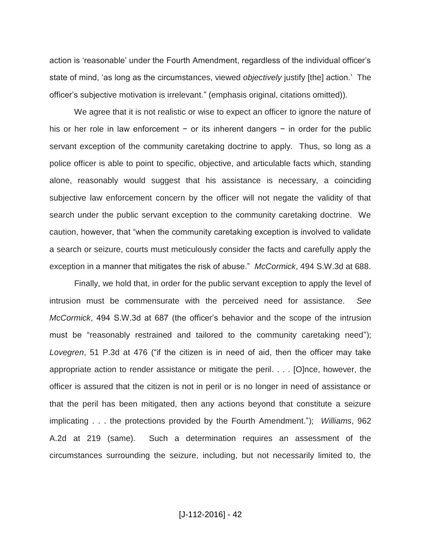action is 'reasonable' under the Fourth Amendment, regardless of the individual officer's state of mind, 'as long as the circumstances, viewed *objectively* justify [the] action.' The officer's subjective motivation is irrelevant." (emphasis original, citations omitted)).

We agree that it is not realistic or wise to expect an officer to ignore the nature of his or her role in law enforcement − or its inherent dangers − in order for the public servant exception of the community caretaking doctrine to apply. Thus, so long as a police officer is able to point to specific, objective, and articulable facts which, standing alone, reasonably would suggest that his assistance is necessary, a coinciding subjective law enforcement concern by the officer will not negate the validity of that search under the public servant exception to the community caretaking doctrine. We caution, however, that "when the community caretaking exception is involved to validate a search or seizure, courts must meticulously consider the facts and carefully apply the exception in a manner that mitigates the risk of abuse." *McCormick*, 494 S.W.3d at 688.

Finally, we hold that, in order for the public servant exception to apply the level of intrusion must be commensurate with the perceived need for assistance. *See McCormick*, 494 S.W.3d at 687 (the officer's behavior and the scope of the intrusion must be "reasonably restrained and tailored to the community caretaking need"); *Lovegren*, 51 P.3d at 476 ("if the citizen is in need of aid, then the officer may take appropriate action to render assistance or mitigate the peril. . . . [O]nce, however, the officer is assured that the citizen is not in peril or is no longer in need of assistance or that the peril has been mitigated, then any actions beyond that constitute a seizure implicating . . . the protections provided by the Fourth Amendment."); *Williams*, 962 A.2d at 219 (same). Such a determination requires an assessment of the circumstances surrounding the seizure, including, but not necessarily limited to, the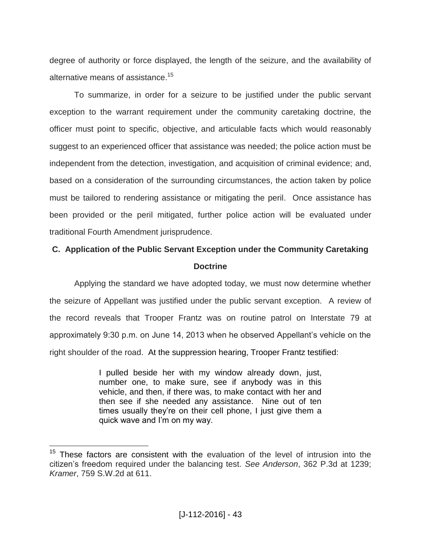degree of authority or force displayed, the length of the seizure, and the availability of alternative means of assistance.<sup>15</sup>

To summarize, in order for a seizure to be justified under the public servant exception to the warrant requirement under the community caretaking doctrine, the officer must point to specific, objective, and articulable facts which would reasonably suggest to an experienced officer that assistance was needed; the police action must be independent from the detection, investigation, and acquisition of criminal evidence; and, based on a consideration of the surrounding circumstances, the action taken by police must be tailored to rendering assistance or mitigating the peril. Once assistance has been provided or the peril mitigated, further police action will be evaluated under traditional Fourth Amendment jurisprudence.

# **C. Application of the Public Servant Exception under the Community Caretaking Doctrine**

Applying the standard we have adopted today, we must now determine whether the seizure of Appellant was justified under the public servant exception. A review of the record reveals that Trooper Frantz was on routine patrol on Interstate 79 at approximately 9:30 p.m. on June 14, 2013 when he observed Appellant's vehicle on the right shoulder of the road. At the suppression hearing, Trooper Frantz testified:

> I pulled beside her with my window already down, just, number one, to make sure, see if anybody was in this vehicle, and then, if there was, to make contact with her and then see if she needed any assistance. Nine out of ten times usually they're on their cell phone, I just give them a quick wave and I'm on my way.

 $15$  These factors are consistent with the evaluation of the level of intrusion into the citizen's freedom required under the balancing test. *See Anderson*, 362 P.3d at 1239; *Kramer*, 759 S.W.2d at 611.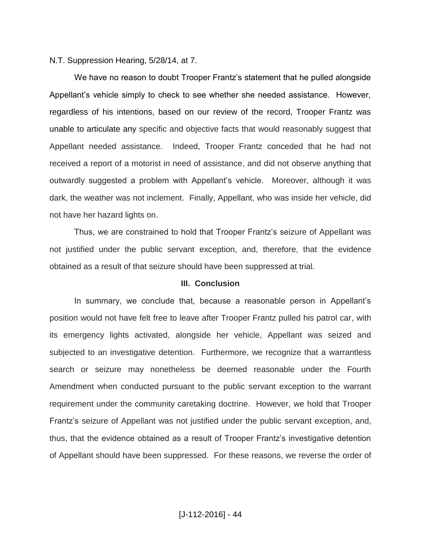#### N.T. Suppression Hearing, 5/28/14, at 7.

We have no reason to doubt Trooper Frantz's statement that he pulled alongside Appellant's vehicle simply to check to see whether she needed assistance. However, regardless of his intentions, based on our review of the record, Trooper Frantz was unable to articulate any specific and objective facts that would reasonably suggest that Appellant needed assistance. Indeed, Trooper Frantz conceded that he had not received a report of a motorist in need of assistance, and did not observe anything that outwardly suggested a problem with Appellant's vehicle. Moreover, although it was dark, the weather was not inclement. Finally, Appellant, who was inside her vehicle, did not have her hazard lights on.

Thus, we are constrained to hold that Trooper Frantz's seizure of Appellant was not justified under the public servant exception, and, therefore, that the evidence obtained as a result of that seizure should have been suppressed at trial.

#### **III. Conclusion**

In summary, we conclude that, because a reasonable person in Appellant's position would not have felt free to leave after Trooper Frantz pulled his patrol car, with its emergency lights activated, alongside her vehicle, Appellant was seized and subjected to an investigative detention. Furthermore, we recognize that a warrantless search or seizure may nonetheless be deemed reasonable under the Fourth Amendment when conducted pursuant to the public servant exception to the warrant requirement under the community caretaking doctrine. However, we hold that Trooper Frantz's seizure of Appellant was not justified under the public servant exception, and, thus, that the evidence obtained as a result of Trooper Frantz's investigative detention of Appellant should have been suppressed. For these reasons, we reverse the order of